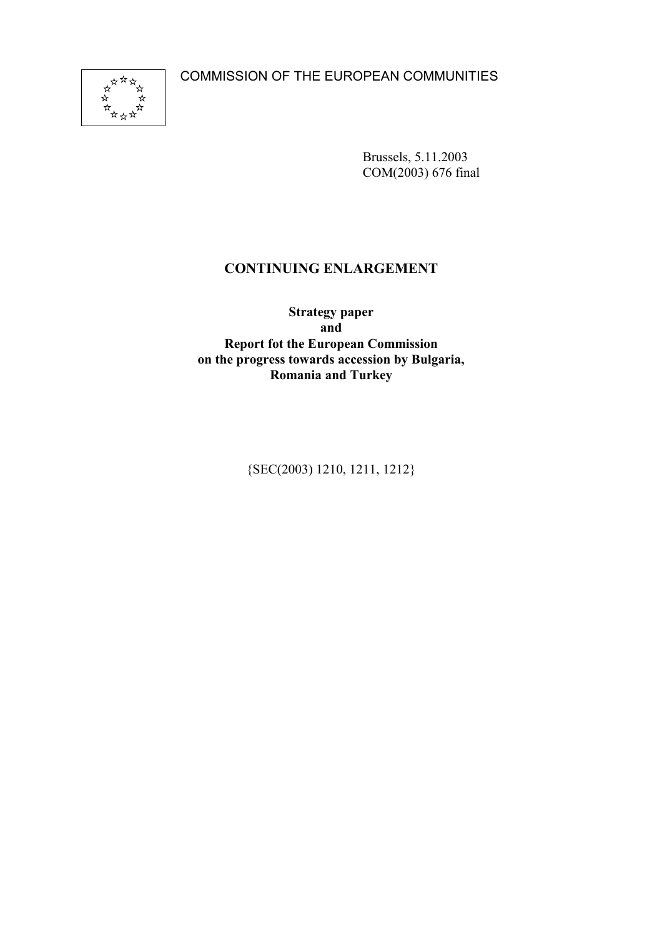COMMISSION OF THE EUROPEAN COMMUNITIES



Brussels, 5.11.2003 COM(2003) 676 final

# **CONTINUING ENLARGEMENT**

**Strategy paper and Report fot the European Commission on the progress towards accession by Bulgaria, Romania and Turkey**

{SEC(2003) 1210, 1211, 1212}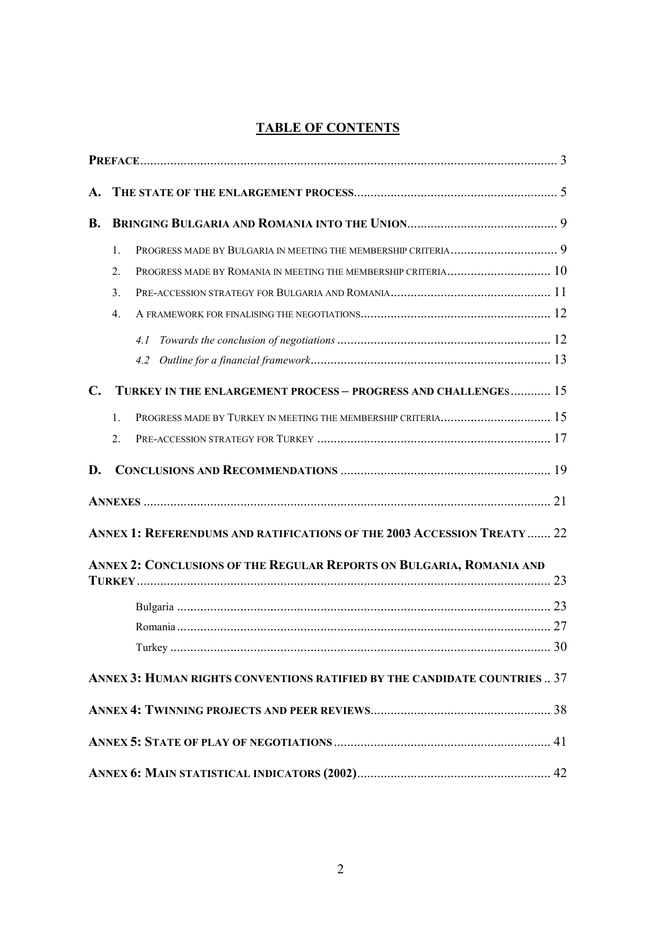# **TABLE OF CONTENTS**

| A.             |                  |                                                                           |  |
|----------------|------------------|---------------------------------------------------------------------------|--|
| <b>B.</b>      |                  |                                                                           |  |
|                | 1.               |                                                                           |  |
|                | 2.               |                                                                           |  |
|                | $\overline{3}$ . |                                                                           |  |
|                | 4.               |                                                                           |  |
|                |                  | 4.1                                                                       |  |
|                |                  |                                                                           |  |
| $\mathbf{C}$ . |                  | TURKEY IN THE ENLARGEMENT PROCESS - PROGRESS AND CHALLENGES 15            |  |
|                | $\mathbf{1}$ .   |                                                                           |  |
|                | 2.               |                                                                           |  |
| D.             |                  |                                                                           |  |
|                |                  |                                                                           |  |
|                |                  | ANNEX 1: REFERENDUMS AND RATIFICATIONS OF THE 2003 ACCESSION TREATY  22   |  |
|                |                  | ANNEX 2: CONCLUSIONS OF THE REGULAR REPORTS ON BULGARIA, ROMANIA AND      |  |
|                |                  |                                                                           |  |
|                |                  |                                                                           |  |
|                |                  |                                                                           |  |
|                |                  | ANNEX 3: HUMAN RIGHTS CONVENTIONS RATIFIED BY THE CANDIDATE COUNTRIES  37 |  |
|                |                  |                                                                           |  |
|                |                  |                                                                           |  |
|                |                  |                                                                           |  |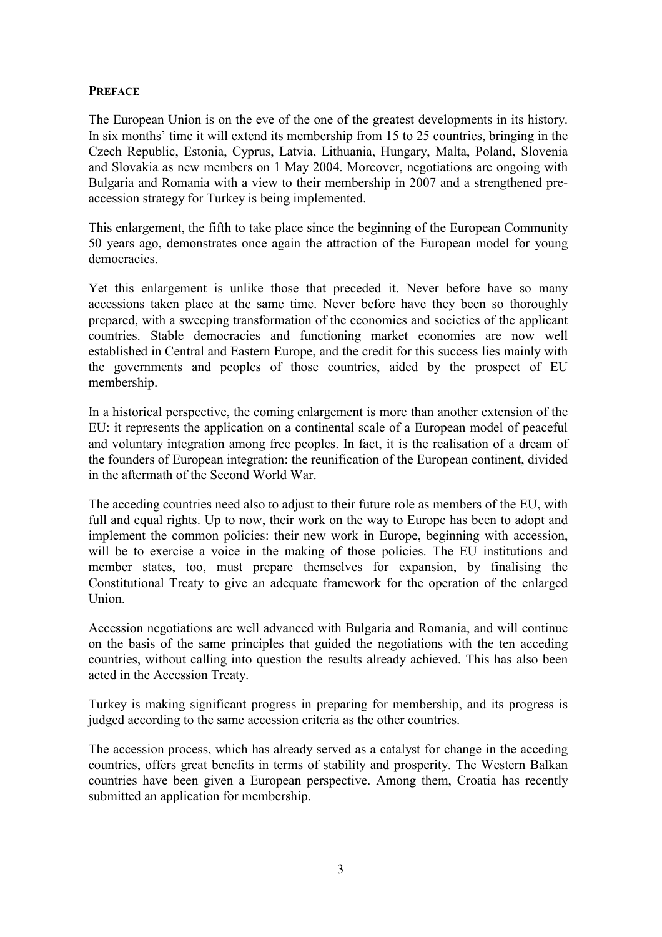## **PREFACE**

The European Union is on the eve of the one of the greatest developments in its history. In six months' time it will extend its membership from 15 to 25 countries, bringing in the Czech Republic, Estonia, Cyprus, Latvia, Lithuania, Hungary, Malta, Poland, Slovenia and Slovakia as new members on 1 May 2004. Moreover, negotiations are ongoing with Bulgaria and Romania with a view to their membership in 2007 and a strengthened preaccession strategy for Turkey is being implemented.

This enlargement, the fifth to take place since the beginning of the European Community 50 years ago, demonstrates once again the attraction of the European model for young democracies.

Yet this enlargement is unlike those that preceded it. Never before have so many accessions taken place at the same time. Never before have they been so thoroughly prepared, with a sweeping transformation of the economies and societies of the applicant countries. Stable democracies and functioning market economies are now well established in Central and Eastern Europe, and the credit for this success lies mainly with the governments and peoples of those countries, aided by the prospect of EU membership.

In a historical perspective, the coming enlargement is more than another extension of the EU: it represents the application on a continental scale of a European model of peaceful and voluntary integration among free peoples. In fact, it is the realisation of a dream of the founders of European integration: the reunification of the European continent, divided in the aftermath of the Second World War.

The acceding countries need also to adjust to their future role as members of the EU, with full and equal rights. Up to now, their work on the way to Europe has been to adopt and implement the common policies: their new work in Europe, beginning with accession, will be to exercise a voice in the making of those policies. The EU institutions and member states, too, must prepare themselves for expansion, by finalising the Constitutional Treaty to give an adequate framework for the operation of the enlarged Union.

Accession negotiations are well advanced with Bulgaria and Romania, and will continue on the basis of the same principles that guided the negotiations with the ten acceding countries, without calling into question the results already achieved. This has also been acted in the Accession Treaty.

Turkey is making significant progress in preparing for membership, and its progress is judged according to the same accession criteria as the other countries.

The accession process, which has already served as a catalyst for change in the acceding countries, offers great benefits in terms of stability and prosperity. The Western Balkan countries have been given a European perspective. Among them, Croatia has recently submitted an application for membership.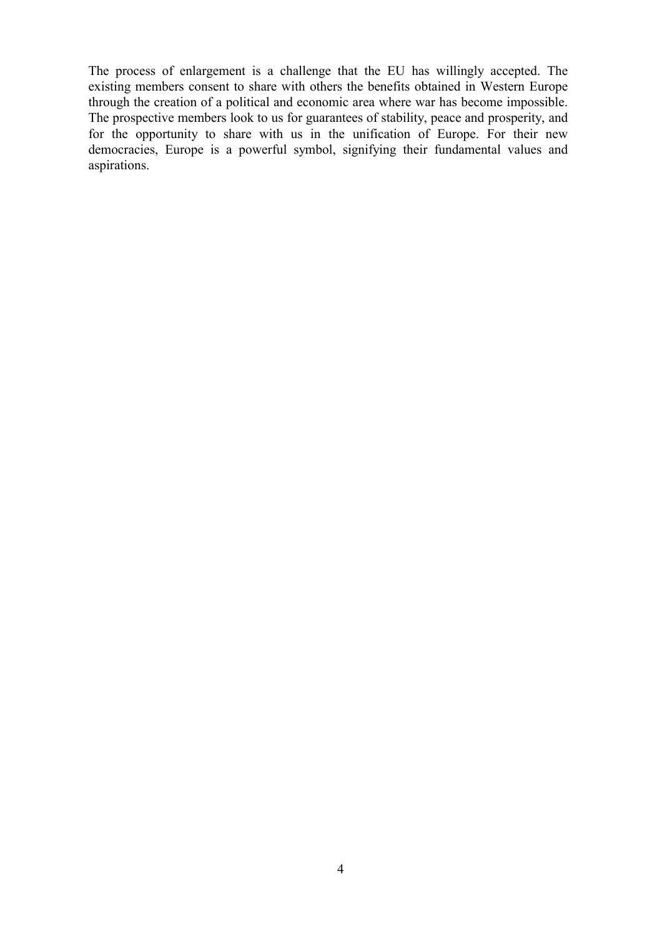The process of enlargement is a challenge that the EU has willingly accepted. The existing members consent to share with others the benefits obtained in Western Europe through the creation of a political and economic area where war has become impossible. The prospective members look to us for guarantees of stability, peace and prosperity, and for the opportunity to share with us in the unification of Europe. For their new democracies, Europe is a powerful symbol, signifying their fundamental values and aspirations.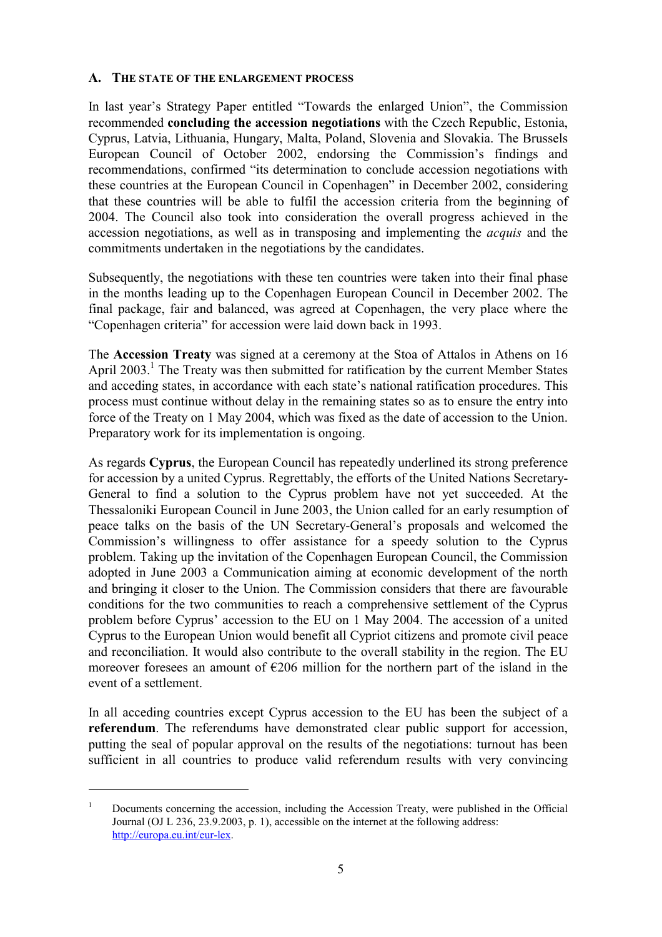### **A. THE STATE OF THE ENLARGEMENT PROCESS**

In last year's Strategy Paper entitled "Towards the enlarged Union", the Commission recommended **concluding the accession negotiations** with the Czech Republic, Estonia, Cyprus, Latvia, Lithuania, Hungary, Malta, Poland, Slovenia and Slovakia. The Brussels European Council of October 2002, endorsing the Commission's findings and recommendations, confirmed "its determination to conclude accession negotiations with these countries at the European Council in Copenhagen" in December 2002, considering that these countries will be able to fulfil the accession criteria from the beginning of 2004. The Council also took into consideration the overall progress achieved in the accession negotiations, as well as in transposing and implementing the *acquis* and the commitments undertaken in the negotiations by the candidates.

Subsequently, the negotiations with these ten countries were taken into their final phase in the months leading up to the Copenhagen European Council in December 2002. The final package, fair and balanced, was agreed at Copenhagen, the very place where the "Copenhagen criteria" for accession were laid down back in 1993.

The **Accession Treaty** was signed at a ceremony at the Stoa of Attalos in Athens on 16 April 2003.<sup>1</sup> The Treaty was then submitted for ratification by the current Member States and acceding states, in accordance with each state's national ratification procedures. This process must continue without delay in the remaining states so as to ensure the entry into force of the Treaty on 1 May 2004, which was fixed as the date of accession to the Union. Preparatory work for its implementation is ongoing.

As regards **Cyprus**, the European Council has repeatedly underlined its strong preference for accession by a united Cyprus. Regrettably, the efforts of the United Nations Secretary-General to find a solution to the Cyprus problem have not yet succeeded. At the Thessaloniki European Council in June 2003, the Union called for an early resumption of peace talks on the basis of the UN Secretary-General's proposals and welcomed the Commission's willingness to offer assistance for a speedy solution to the Cyprus problem. Taking up the invitation of the Copenhagen European Council, the Commission adopted in June 2003 a Communication aiming at economic development of the north and bringing it closer to the Union. The Commission considers that there are favourable conditions for the two communities to reach a comprehensive settlement of the Cyprus problem before Cyprus' accession to the EU on 1 May 2004. The accession of a united Cyprus to the European Union would benefit all Cypriot citizens and promote civil peace and reconciliation. It would also contribute to the overall stability in the region. The EU moreover foresees an amount of  $\epsilon$ 206 million for the northern part of the island in the event of a settlement.

In all acceding countries except Cyprus accession to the EU has been the subject of a **referendum**. The referendums have demonstrated clear public support for accession, putting the seal of popular approval on the results of the negotiations: turnout has been sufficient in all countries to produce valid referendum results with very convincing

 $\overline{a}$ 

<sup>1</sup> Documents concerning the accession, including the Accession Treaty, were published in the Official Journal (OJ L 236, 23.9.2003, p. 1), accessible on the internet at the following address: http://europa.eu.int/eur-lex.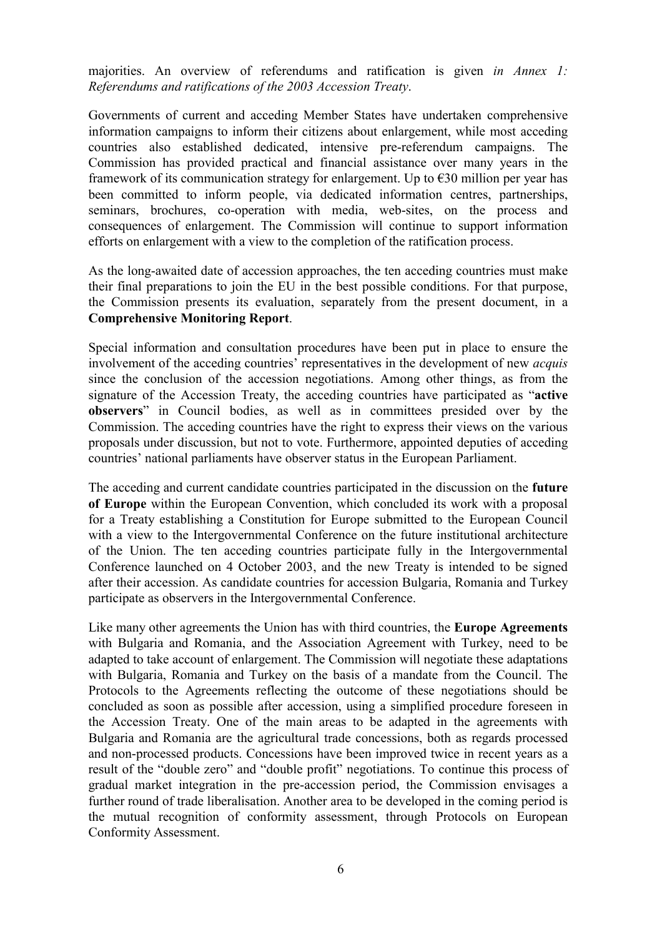majorities. An overview of referendums and ratification is given *in Annex 1: Referendums and ratifications of the 2003 Accession Treaty*.

Governments of current and acceding Member States have undertaken comprehensive information campaigns to inform their citizens about enlargement, while most acceding countries also established dedicated, intensive pre-referendum campaigns. The Commission has provided practical and financial assistance over many years in the framework of its communication strategy for enlargement. Up to  $\epsilon$ 30 million per year has been committed to inform people, via dedicated information centres, partnerships, seminars, brochures, co-operation with media, web-sites, on the process and consequences of enlargement. The Commission will continue to support information efforts on enlargement with a view to the completion of the ratification process.

As the long-awaited date of accession approaches, the ten acceding countries must make their final preparations to join the EU in the best possible conditions. For that purpose, the Commission presents its evaluation, separately from the present document, in a **Comprehensive Monitoring Report**.

Special information and consultation procedures have been put in place to ensure the involvement of the acceding countries' representatives in the development of new *acquis* since the conclusion of the accession negotiations. Among other things, as from the signature of the Accession Treaty, the acceding countries have participated as "**active observers**" in Council bodies, as well as in committees presided over by the Commission. The acceding countries have the right to express their views on the various proposals under discussion, but not to vote. Furthermore, appointed deputies of acceding countries' national parliaments have observer status in the European Parliament.

The acceding and current candidate countries participated in the discussion on the **future of Europe** within the European Convention, which concluded its work with a proposal for a Treaty establishing a Constitution for Europe submitted to the European Council with a view to the Intergovernmental Conference on the future institutional architecture of the Union. The ten acceding countries participate fully in the Intergovernmental Conference launched on 4 October 2003, and the new Treaty is intended to be signed after their accession. As candidate countries for accession Bulgaria, Romania and Turkey participate as observers in the Intergovernmental Conference.

Like many other agreements the Union has with third countries, the **Europe Agreements** with Bulgaria and Romania, and the Association Agreement with Turkey, need to be adapted to take account of enlargement. The Commission will negotiate these adaptations with Bulgaria, Romania and Turkey on the basis of a mandate from the Council. The Protocols to the Agreements reflecting the outcome of these negotiations should be concluded as soon as possible after accession, using a simplified procedure foreseen in the Accession Treaty. One of the main areas to be adapted in the agreements with Bulgaria and Romania are the agricultural trade concessions, both as regards processed and non-processed products. Concessions have been improved twice in recent years as a result of the "double zero" and "double profit" negotiations. To continue this process of gradual market integration in the pre-accession period, the Commission envisages a further round of trade liberalisation. Another area to be developed in the coming period is the mutual recognition of conformity assessment, through Protocols on European Conformity Assessment.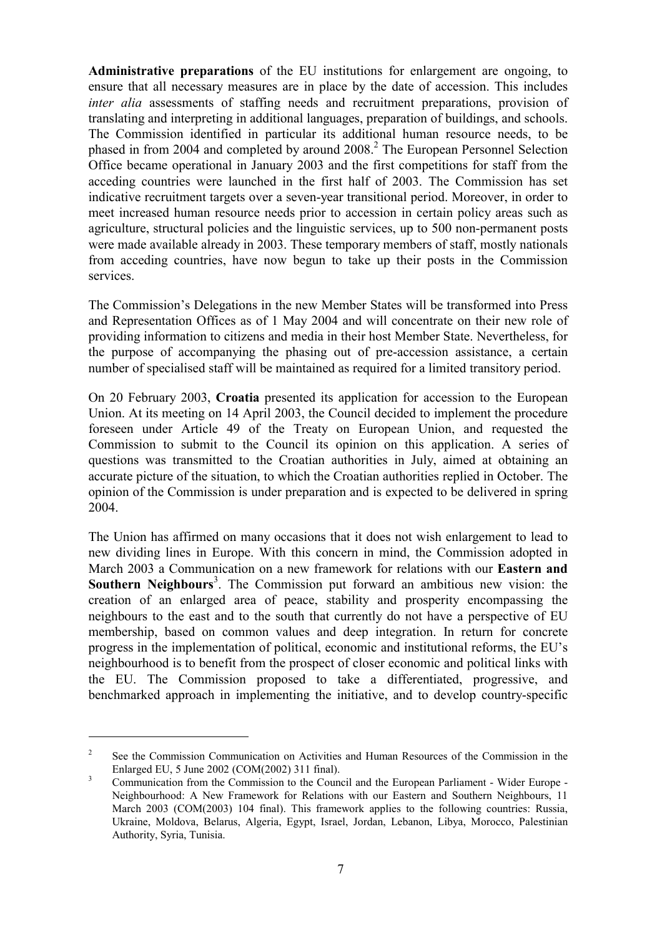**Administrative preparations** of the EU institutions for enlargement are ongoing, to ensure that all necessary measures are in place by the date of accession. This includes *inter alia* assessments of staffing needs and recruitment preparations, provision of translating and interpreting in additional languages, preparation of buildings, and schools. The Commission identified in particular its additional human resource needs, to be phased in from 2004 and completed by around 2008.<sup>2</sup> The European Personnel Selection Office became operational in January 2003 and the first competitions for staff from the acceding countries were launched in the first half of 2003. The Commission has set indicative recruitment targets over a seven-year transitional period. Moreover, in order to meet increased human resource needs prior to accession in certain policy areas such as agriculture, structural policies and the linguistic services, up to 500 non-permanent posts were made available already in 2003. These temporary members of staff, mostly nationals from acceding countries, have now begun to take up their posts in the Commission services.

The Commission's Delegations in the new Member States will be transformed into Press and Representation Offices as of 1 May 2004 and will concentrate on their new role of providing information to citizens and media in their host Member State. Nevertheless, for the purpose of accompanying the phasing out of pre-accession assistance, a certain number of specialised staff will be maintained as required for a limited transitory period.

On 20 February 2003, **Croatia** presented its application for accession to the European Union. At its meeting on 14 April 2003, the Council decided to implement the procedure foreseen under Article 49 of the Treaty on European Union, and requested the Commission to submit to the Council its opinion on this application. A series of questions was transmitted to the Croatian authorities in July, aimed at obtaining an accurate picture of the situation, to which the Croatian authorities replied in October. The opinion of the Commission is under preparation and is expected to be delivered in spring 2004.

The Union has affirmed on many occasions that it does not wish enlargement to lead to new dividing lines in Europe. With this concern in mind, the Commission adopted in March 2003 a Communication on a new framework for relations with our **Eastern and Southern Neighbours**<sup>3</sup>. The Commission put forward an ambitious new vision: the creation of an enlarged area of peace, stability and prosperity encompassing the neighbours to the east and to the south that currently do not have a perspective of EU membership, based on common values and deep integration. In return for concrete progress in the implementation of political, economic and institutional reforms, the EU's neighbourhood is to benefit from the prospect of closer economic and political links with the EU. The Commission proposed to take a differentiated, progressive, and benchmarked approach in implementing the initiative, and to develop country-specific

 $\overline{a}$ 

<sup>2</sup> See the Commission Communication on Activities and Human Resources of the Commission in the Enlarged EU, 5 June 2002 (COM(2002) 311 final).

<sup>3</sup> Communication from the Commission to the Council and the European Parliament - Wider Europe - Neighbourhood: A New Framework for Relations with our Eastern and Southern Neighbours, 11 March 2003 (COM(2003) 104 final). This framework applies to the following countries: Russia, Ukraine, Moldova, Belarus, Algeria, Egypt, Israel, Jordan, Lebanon, Libya, Morocco, Palestinian Authority, Syria, Tunisia.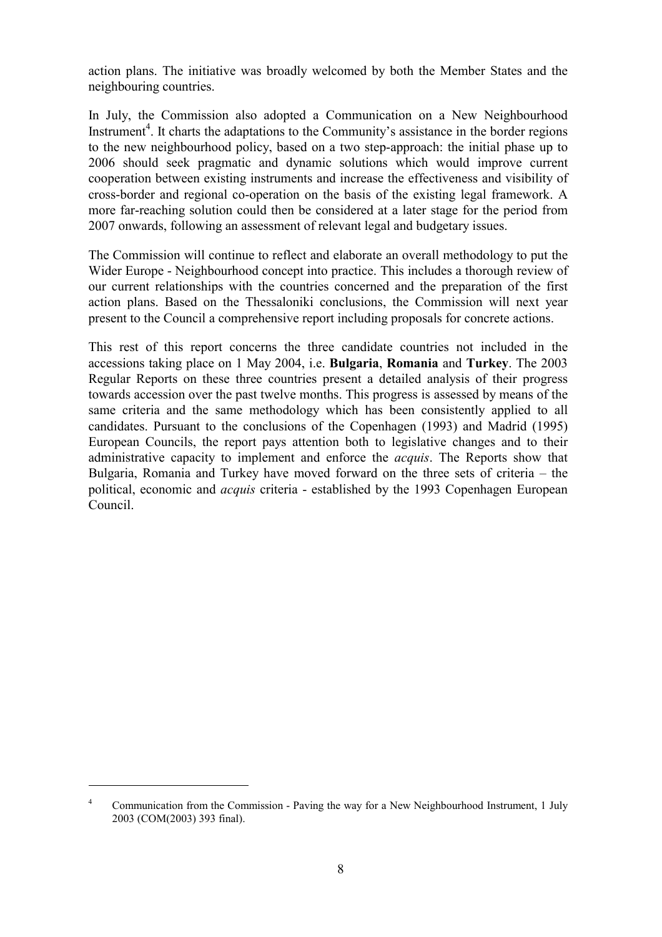action plans. The initiative was broadly welcomed by both the Member States and the neighbouring countries.

In July, the Commission also adopted a Communication on a New Neighbourhood Instrument<sup>4</sup>. It charts the adaptations to the Community's assistance in the border regions to the new neighbourhood policy, based on a two step-approach: the initial phase up to 2006 should seek pragmatic and dynamic solutions which would improve current cooperation between existing instruments and increase the effectiveness and visibility of cross-border and regional co-operation on the basis of the existing legal framework. A more far-reaching solution could then be considered at a later stage for the period from 2007 onwards, following an assessment of relevant legal and budgetary issues.

The Commission will continue to reflect and elaborate an overall methodology to put the Wider Europe - Neighbourhood concept into practice. This includes a thorough review of our current relationships with the countries concerned and the preparation of the first action plans. Based on the Thessaloniki conclusions, the Commission will next year present to the Council a comprehensive report including proposals for concrete actions.

This rest of this report concerns the three candidate countries not included in the accessions taking place on 1 May 2004, i.e. **Bulgaria**, **Romania** and **Turkey**. The 2003 Regular Reports on these three countries present a detailed analysis of their progress towards accession over the past twelve months. This progress is assessed by means of the same criteria and the same methodology which has been consistently applied to all candidates. Pursuant to the conclusions of the Copenhagen (1993) and Madrid (1995) European Councils, the report pays attention both to legislative changes and to their administrative capacity to implement and enforce the *acquis*. The Reports show that Bulgaria, Romania and Turkey have moved forward on the three sets of criteria – the political, economic and *acquis* criteria - established by the 1993 Copenhagen European Council.

 $\overline{a}$ 

<sup>4</sup> Communication from the Commission - Paving the way for a New Neighbourhood Instrument, 1 July 2003 (COM(2003) 393 final).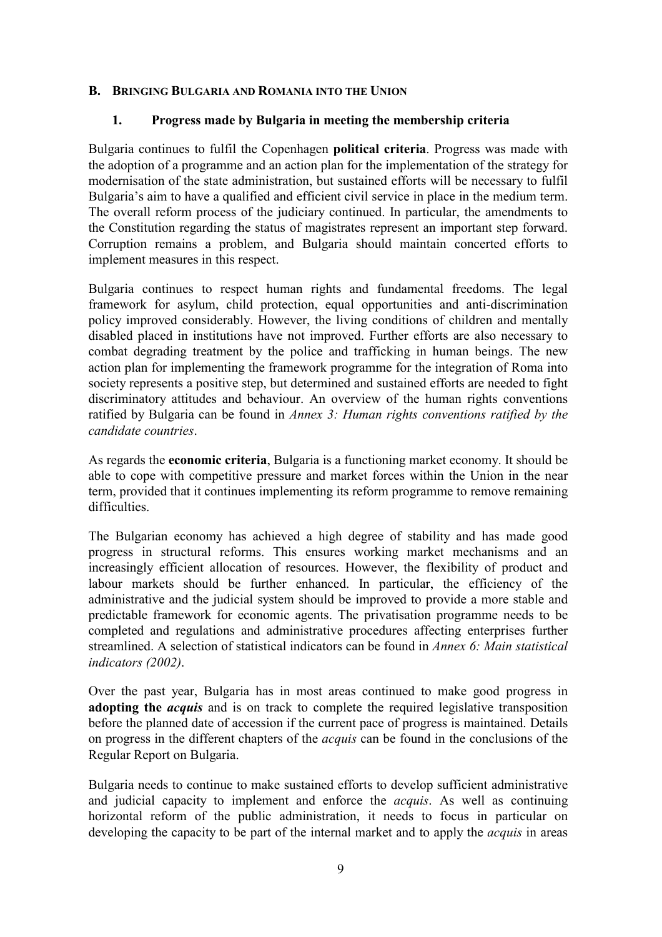## **B. BRINGING BULGARIA AND ROMANIA INTO THE UNION**

## **1. Progress made by Bulgaria in meeting the membership criteria**

Bulgaria continues to fulfil the Copenhagen **political criteria**. Progress was made with the adoption of a programme and an action plan for the implementation of the strategy for modernisation of the state administration, but sustained efforts will be necessary to fulfil Bulgaria's aim to have a qualified and efficient civil service in place in the medium term. The overall reform process of the judiciary continued. In particular, the amendments to the Constitution regarding the status of magistrates represent an important step forward. Corruption remains a problem, and Bulgaria should maintain concerted efforts to implement measures in this respect.

Bulgaria continues to respect human rights and fundamental freedoms. The legal framework for asylum, child protection, equal opportunities and anti-discrimination policy improved considerably. However, the living conditions of children and mentally disabled placed in institutions have not improved. Further efforts are also necessary to combat degrading treatment by the police and trafficking in human beings. The new action plan for implementing the framework programme for the integration of Roma into society represents a positive step, but determined and sustained efforts are needed to fight discriminatory attitudes and behaviour. An overview of the human rights conventions ratified by Bulgaria can be found in *Annex 3: Human rights conventions ratified by the candidate countries*.

As regards the **economic criteria**, Bulgaria is a functioning market economy. It should be able to cope with competitive pressure and market forces within the Union in the near term, provided that it continues implementing its reform programme to remove remaining difficulties.

The Bulgarian economy has achieved a high degree of stability and has made good progress in structural reforms. This ensures working market mechanisms and an increasingly efficient allocation of resources. However, the flexibility of product and labour markets should be further enhanced. In particular, the efficiency of the administrative and the judicial system should be improved to provide a more stable and predictable framework for economic agents. The privatisation programme needs to be completed and regulations and administrative procedures affecting enterprises further streamlined. A selection of statistical indicators can be found in *Annex 6: Main statistical indicators (2002)*.

Over the past year, Bulgaria has in most areas continued to make good progress in **adopting the** *acquis* and is on track to complete the required legislative transposition before the planned date of accession if the current pace of progress is maintained. Details on progress in the different chapters of the *acquis* can be found in the conclusions of the Regular Report on Bulgaria.

Bulgaria needs to continue to make sustained efforts to develop sufficient administrative and judicial capacity to implement and enforce the *acquis*. As well as continuing horizontal reform of the public administration, it needs to focus in particular on developing the capacity to be part of the internal market and to apply the *acquis* in areas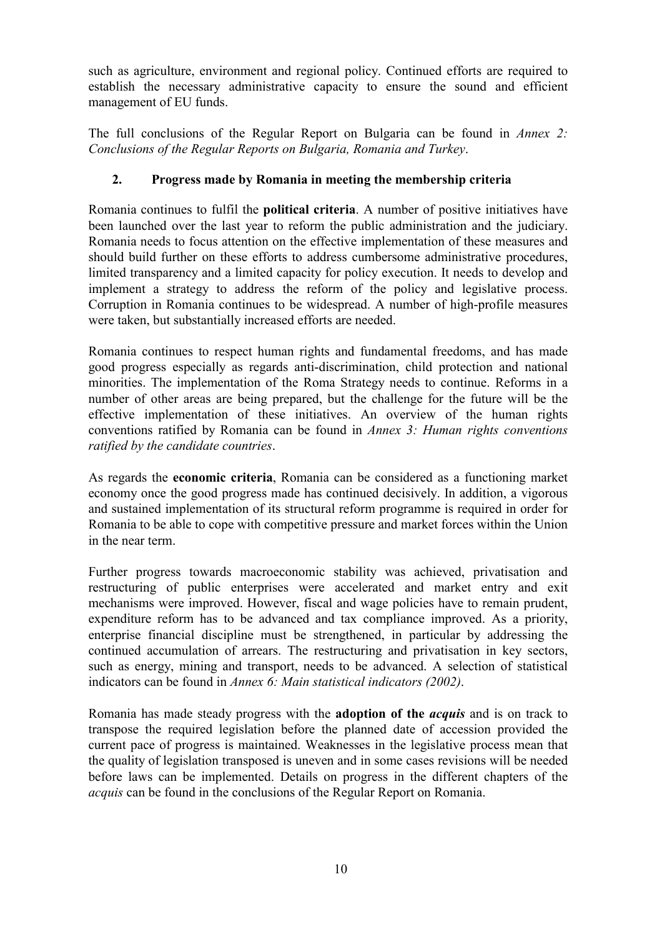such as agriculture, environment and regional policy. Continued efforts are required to establish the necessary administrative capacity to ensure the sound and efficient management of EU funds.

The full conclusions of the Regular Report on Bulgaria can be found in *Annex 2: Conclusions of the Regular Reports on Bulgaria, Romania and Turkey*.

## **2. Progress made by Romania in meeting the membership criteria**

Romania continues to fulfil the **political criteria**. A number of positive initiatives have been launched over the last year to reform the public administration and the judiciary. Romania needs to focus attention on the effective implementation of these measures and should build further on these efforts to address cumbersome administrative procedures, limited transparency and a limited capacity for policy execution. It needs to develop and implement a strategy to address the reform of the policy and legislative process. Corruption in Romania continues to be widespread. A number of high-profile measures were taken, but substantially increased efforts are needed.

Romania continues to respect human rights and fundamental freedoms, and has made good progress especially as regards anti-discrimination, child protection and national minorities. The implementation of the Roma Strategy needs to continue. Reforms in a number of other areas are being prepared, but the challenge for the future will be the effective implementation of these initiatives. An overview of the human rights conventions ratified by Romania can be found in *Annex 3: Human rights conventions ratified by the candidate countries*.

As regards the **economic criteria**, Romania can be considered as a functioning market economy once the good progress made has continued decisively. In addition, a vigorous and sustained implementation of its structural reform programme is required in order for Romania to be able to cope with competitive pressure and market forces within the Union in the near term.

Further progress towards macroeconomic stability was achieved, privatisation and restructuring of public enterprises were accelerated and market entry and exit mechanisms were improved. However, fiscal and wage policies have to remain prudent, expenditure reform has to be advanced and tax compliance improved. As a priority, enterprise financial discipline must be strengthened, in particular by addressing the continued accumulation of arrears. The restructuring and privatisation in key sectors, such as energy, mining and transport, needs to be advanced. A selection of statistical indicators can be found in *Annex 6: Main statistical indicators (2002)*.

Romania has made steady progress with the **adoption of the** *acquis* and is on track to transpose the required legislation before the planned date of accession provided the current pace of progress is maintained. Weaknesses in the legislative process mean that the quality of legislation transposed is uneven and in some cases revisions will be needed before laws can be implemented. Details on progress in the different chapters of the *acquis* can be found in the conclusions of the Regular Report on Romania.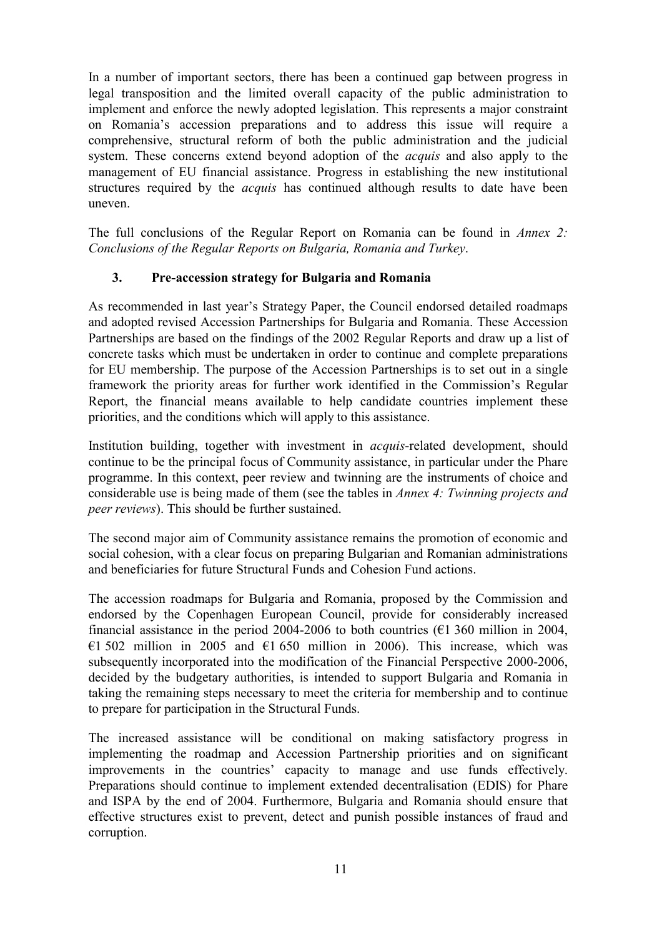In a number of important sectors, there has been a continued gap between progress in legal transposition and the limited overall capacity of the public administration to implement and enforce the newly adopted legislation. This represents a major constraint on Romania's accession preparations and to address this issue will require a comprehensive, structural reform of both the public administration and the judicial system. These concerns extend beyond adoption of the *acquis* and also apply to the management of EU financial assistance. Progress in establishing the new institutional structures required by the *acquis* has continued although results to date have been uneven.

The full conclusions of the Regular Report on Romania can be found in *Annex 2: Conclusions of the Regular Reports on Bulgaria, Romania and Turkey*.

## **3. Pre-accession strategy for Bulgaria and Romania**

As recommended in last year's Strategy Paper, the Council endorsed detailed roadmaps and adopted revised Accession Partnerships for Bulgaria and Romania. These Accession Partnerships are based on the findings of the 2002 Regular Reports and draw up a list of concrete tasks which must be undertaken in order to continue and complete preparations for EU membership. The purpose of the Accession Partnerships is to set out in a single framework the priority areas for further work identified in the Commission's Regular Report, the financial means available to help candidate countries implement these priorities, and the conditions which will apply to this assistance.

Institution building, together with investment in *acquis*-related development, should continue to be the principal focus of Community assistance, in particular under the Phare programme. In this context, peer review and twinning are the instruments of choice and considerable use is being made of them (see the tables in *Annex 4: Twinning projects and peer reviews*). This should be further sustained.

The second major aim of Community assistance remains the promotion of economic and social cohesion, with a clear focus on preparing Bulgarian and Romanian administrations and beneficiaries for future Structural Funds and Cohesion Fund actions.

The accession roadmaps for Bulgaria and Romania, proposed by the Commission and endorsed by the Copenhagen European Council, provide for considerably increased financial assistance in the period 2004-2006 to both countries ( $\epsilon$ 1 360 million in 2004, €1 502 million in 2005 and €1 650 million in 2006). This increase, which was subsequently incorporated into the modification of the Financial Perspective 2000-2006, decided by the budgetary authorities, is intended to support Bulgaria and Romania in taking the remaining steps necessary to meet the criteria for membership and to continue to prepare for participation in the Structural Funds.

The increased assistance will be conditional on making satisfactory progress in implementing the roadmap and Accession Partnership priorities and on significant improvements in the countries' capacity to manage and use funds effectively. Preparations should continue to implement extended decentralisation (EDIS) for Phare and ISPA by the end of 2004. Furthermore, Bulgaria and Romania should ensure that effective structures exist to prevent, detect and punish possible instances of fraud and corruption.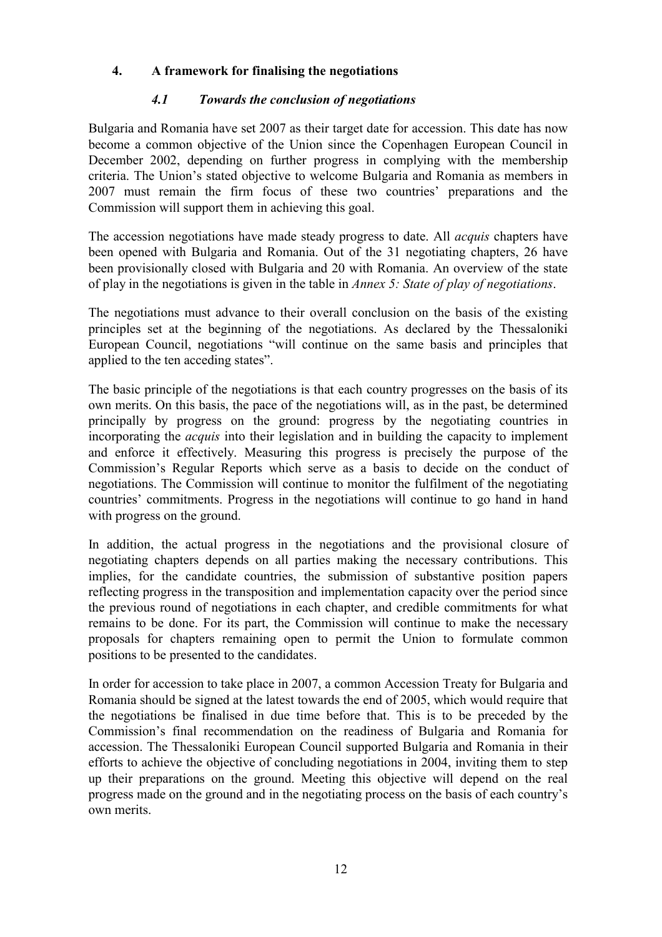## **4. A framework for finalising the negotiations**

## *4.1 Towards the conclusion of negotiations*

Bulgaria and Romania have set 2007 as their target date for accession. This date has now become a common objective of the Union since the Copenhagen European Council in December 2002, depending on further progress in complying with the membership criteria. The Union's stated objective to welcome Bulgaria and Romania as members in 2007 must remain the firm focus of these two countries' preparations and the Commission will support them in achieving this goal.

The accession negotiations have made steady progress to date. All *acquis* chapters have been opened with Bulgaria and Romania. Out of the 31 negotiating chapters, 26 have been provisionally closed with Bulgaria and 20 with Romania. An overview of the state of play in the negotiations is given in the table in *Annex 5: State of play of negotiations*.

The negotiations must advance to their overall conclusion on the basis of the existing principles set at the beginning of the negotiations. As declared by the Thessaloniki European Council, negotiations "will continue on the same basis and principles that applied to the ten acceding states".

The basic principle of the negotiations is that each country progresses on the basis of its own merits. On this basis, the pace of the negotiations will, as in the past, be determined principally by progress on the ground: progress by the negotiating countries in incorporating the *acquis* into their legislation and in building the capacity to implement and enforce it effectively. Measuring this progress is precisely the purpose of the Commission's Regular Reports which serve as a basis to decide on the conduct of negotiations. The Commission will continue to monitor the fulfilment of the negotiating countries' commitments. Progress in the negotiations will continue to go hand in hand with progress on the ground.

In addition, the actual progress in the negotiations and the provisional closure of negotiating chapters depends on all parties making the necessary contributions. This implies, for the candidate countries, the submission of substantive position papers reflecting progress in the transposition and implementation capacity over the period since the previous round of negotiations in each chapter, and credible commitments for what remains to be done. For its part, the Commission will continue to make the necessary proposals for chapters remaining open to permit the Union to formulate common positions to be presented to the candidates.

In order for accession to take place in 2007, a common Accession Treaty for Bulgaria and Romania should be signed at the latest towards the end of 2005, which would require that the negotiations be finalised in due time before that. This is to be preceded by the Commission's final recommendation on the readiness of Bulgaria and Romania for accession. The Thessaloniki European Council supported Bulgaria and Romania in their efforts to achieve the objective of concluding negotiations in 2004, inviting them to step up their preparations on the ground. Meeting this objective will depend on the real progress made on the ground and in the negotiating process on the basis of each country's own merits.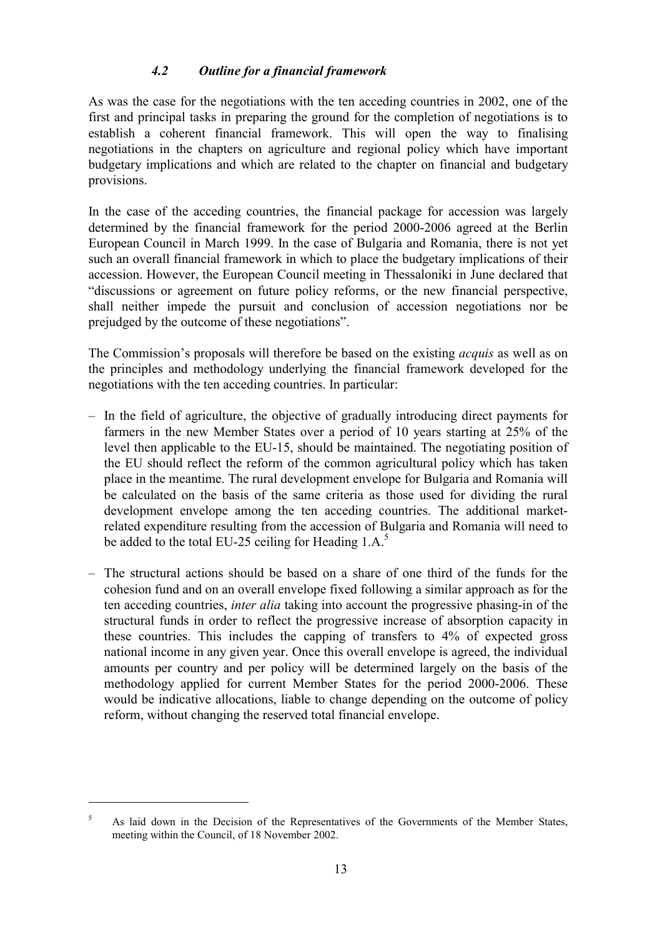## *4.2 Outline for a financial framework*

As was the case for the negotiations with the ten acceding countries in 2002, one of the first and principal tasks in preparing the ground for the completion of negotiations is to establish a coherent financial framework. This will open the way to finalising negotiations in the chapters on agriculture and regional policy which have important budgetary implications and which are related to the chapter on financial and budgetary provisions.

In the case of the acceding countries, the financial package for accession was largely determined by the financial framework for the period 2000-2006 agreed at the Berlin European Council in March 1999. In the case of Bulgaria and Romania, there is not yet such an overall financial framework in which to place the budgetary implications of their accession. However, the European Council meeting in Thessaloniki in June declared that "discussions or agreement on future policy reforms, or the new financial perspective, shall neither impede the pursuit and conclusion of accession negotiations nor be prejudged by the outcome of these negotiations".

The Commission's proposals will therefore be based on the existing *acquis* as well as on the principles and methodology underlying the financial framework developed for the negotiations with the ten acceding countries. In particular:

- In the field of agriculture, the objective of gradually introducing direct payments for farmers in the new Member States over a period of 10 years starting at 25% of the level then applicable to the EU-15, should be maintained. The negotiating position of the EU should reflect the reform of the common agricultural policy which has taken place in the meantime. The rural development envelope for Bulgaria and Romania will be calculated on the basis of the same criteria as those used for dividing the rural development envelope among the ten acceding countries. The additional marketrelated expenditure resulting from the accession of Bulgaria and Romania will need to be added to the total EU-25 ceiling for Heading  $1.A.<sup>5</sup>$
- The structural actions should be based on a share of one third of the funds for the cohesion fund and on an overall envelope fixed following a similar approach as for the ten acceding countries, *inter alia* taking into account the progressive phasing-in of the structural funds in order to reflect the progressive increase of absorption capacity in these countries. This includes the capping of transfers to 4% of expected gross national income in any given year. Once this overall envelope is agreed, the individual amounts per country and per policy will be determined largely on the basis of the methodology applied for current Member States for the period 2000-2006. These would be indicative allocations, liable to change depending on the outcome of policy reform, without changing the reserved total financial envelope.

 $\overline{a}$ 

<sup>5</sup> As laid down in the Decision of the Representatives of the Governments of the Member States, meeting within the Council, of 18 November 2002.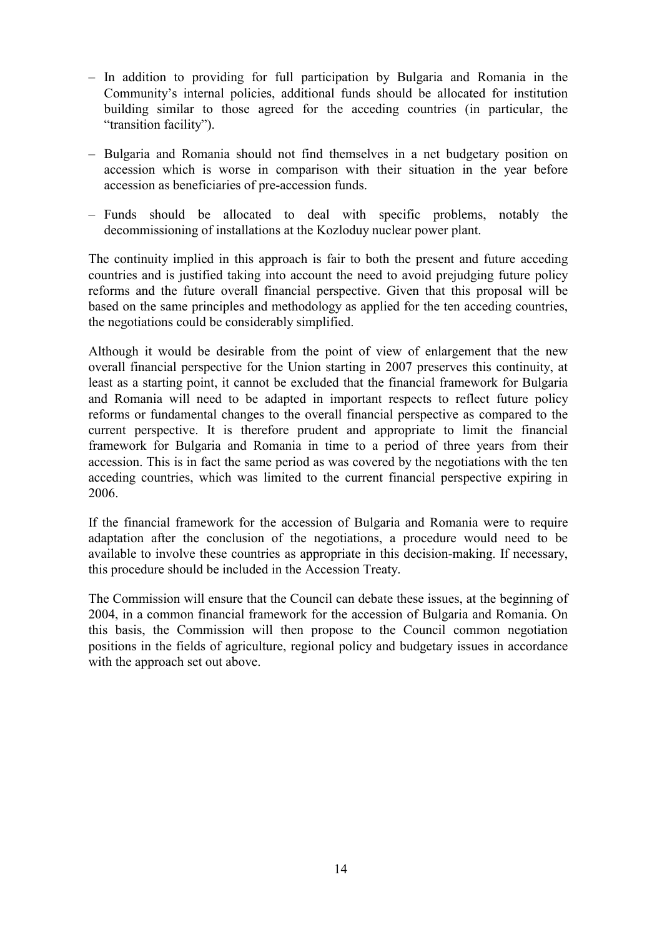- In addition to providing for full participation by Bulgaria and Romania in the Community's internal policies, additional funds should be allocated for institution building similar to those agreed for the acceding countries (in particular, the "transition facility").
- Bulgaria and Romania should not find themselves in a net budgetary position on accession which is worse in comparison with their situation in the year before accession as beneficiaries of pre-accession funds.
- Funds should be allocated to deal with specific problems, notably the decommissioning of installations at the Kozloduy nuclear power plant.

The continuity implied in this approach is fair to both the present and future acceding countries and is justified taking into account the need to avoid prejudging future policy reforms and the future overall financial perspective. Given that this proposal will be based on the same principles and methodology as applied for the ten acceding countries, the negotiations could be considerably simplified.

Although it would be desirable from the point of view of enlargement that the new overall financial perspective for the Union starting in 2007 preserves this continuity, at least as a starting point, it cannot be excluded that the financial framework for Bulgaria and Romania will need to be adapted in important respects to reflect future policy reforms or fundamental changes to the overall financial perspective as compared to the current perspective. It is therefore prudent and appropriate to limit the financial framework for Bulgaria and Romania in time to a period of three years from their accession. This is in fact the same period as was covered by the negotiations with the ten acceding countries, which was limited to the current financial perspective expiring in 2006.

If the financial framework for the accession of Bulgaria and Romania were to require adaptation after the conclusion of the negotiations, a procedure would need to be available to involve these countries as appropriate in this decision-making. If necessary, this procedure should be included in the Accession Treaty.

The Commission will ensure that the Council can debate these issues, at the beginning of 2004, in a common financial framework for the accession of Bulgaria and Romania. On this basis, the Commission will then propose to the Council common negotiation positions in the fields of agriculture, regional policy and budgetary issues in accordance with the approach set out above.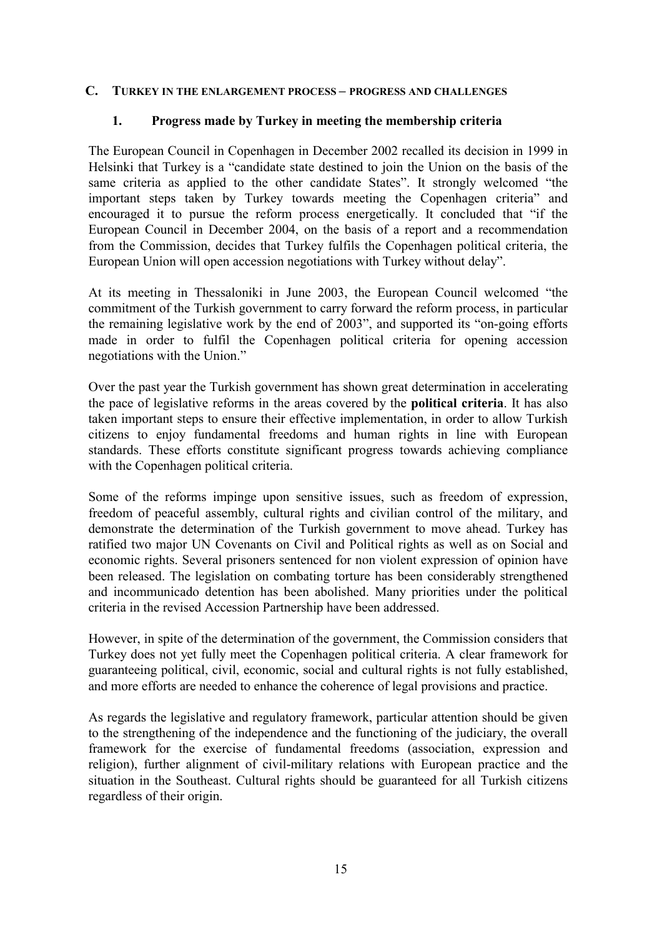### **C. TURKEY IN THE ENLARGEMENT PROCESS – PROGRESS AND CHALLENGES**

### **1. Progress made by Turkey in meeting the membership criteria**

The European Council in Copenhagen in December 2002 recalled its decision in 1999 in Helsinki that Turkey is a "candidate state destined to join the Union on the basis of the same criteria as applied to the other candidate States". It strongly welcomed "the important steps taken by Turkey towards meeting the Copenhagen criteria" and encouraged it to pursue the reform process energetically. It concluded that "if the European Council in December 2004, on the basis of a report and a recommendation from the Commission, decides that Turkey fulfils the Copenhagen political criteria, the European Union will open accession negotiations with Turkey without delay".

At its meeting in Thessaloniki in June 2003, the European Council welcomed "the commitment of the Turkish government to carry forward the reform process, in particular the remaining legislative work by the end of 2003", and supported its "on-going efforts made in order to fulfil the Copenhagen political criteria for opening accession negotiations with the Union."

Over the past year the Turkish government has shown great determination in accelerating the pace of legislative reforms in the areas covered by the **political criteria**. It has also taken important steps to ensure their effective implementation, in order to allow Turkish citizens to enjoy fundamental freedoms and human rights in line with European standards. These efforts constitute significant progress towards achieving compliance with the Copenhagen political criteria.

Some of the reforms impinge upon sensitive issues, such as freedom of expression, freedom of peaceful assembly, cultural rights and civilian control of the military, and demonstrate the determination of the Turkish government to move ahead. Turkey has ratified two major UN Covenants on Civil and Political rights as well as on Social and economic rights. Several prisoners sentenced for non violent expression of opinion have been released. The legislation on combating torture has been considerably strengthened and incommunicado detention has been abolished. Many priorities under the political criteria in the revised Accession Partnership have been addressed.

However, in spite of the determination of the government, the Commission considers that Turkey does not yet fully meet the Copenhagen political criteria. A clear framework for guaranteeing political, civil, economic, social and cultural rights is not fully established, and more efforts are needed to enhance the coherence of legal provisions and practice.

As regards the legislative and regulatory framework, particular attention should be given to the strengthening of the independence and the functioning of the judiciary, the overall framework for the exercise of fundamental freedoms (association, expression and religion), further alignment of civil-military relations with European practice and the situation in the Southeast. Cultural rights should be guaranteed for all Turkish citizens regardless of their origin.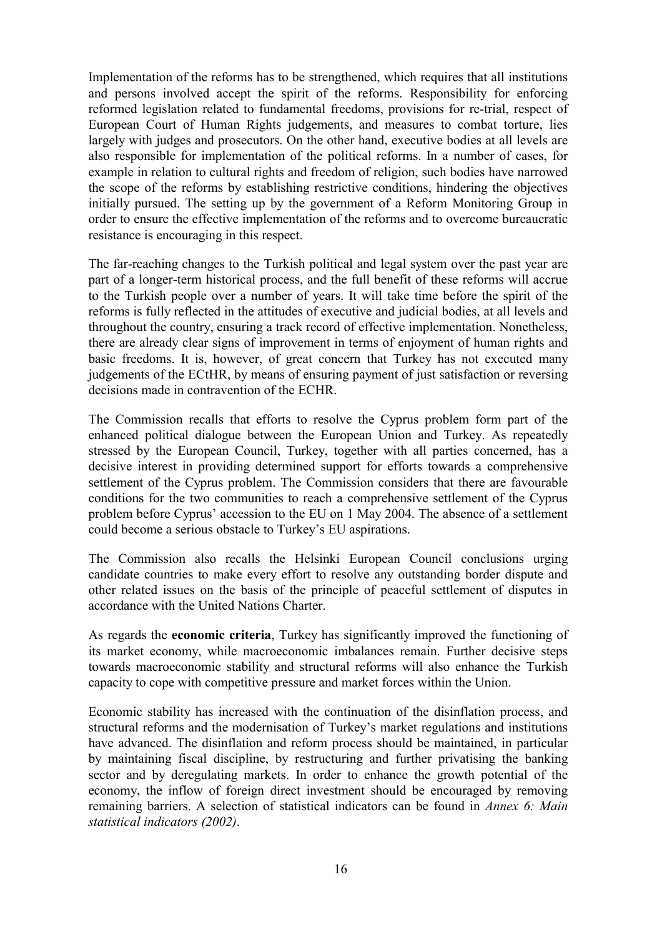Implementation of the reforms has to be strengthened, which requires that all institutions and persons involved accept the spirit of the reforms. Responsibility for enforcing reformed legislation related to fundamental freedoms, provisions for re-trial, respect of European Court of Human Rights judgements, and measures to combat torture, lies largely with judges and prosecutors. On the other hand, executive bodies at all levels are also responsible for implementation of the political reforms. In a number of cases, for example in relation to cultural rights and freedom of religion, such bodies have narrowed the scope of the reforms by establishing restrictive conditions, hindering the objectives initially pursued. The setting up by the government of a Reform Monitoring Group in order to ensure the effective implementation of the reforms and to overcome bureaucratic resistance is encouraging in this respect.

The far-reaching changes to the Turkish political and legal system over the past year are part of a longer-term historical process, and the full benefit of these reforms will accrue to the Turkish people over a number of years. It will take time before the spirit of the reforms is fully reflected in the attitudes of executive and judicial bodies, at all levels and throughout the country, ensuring a track record of effective implementation. Nonetheless, there are already clear signs of improvement in terms of enjoyment of human rights and basic freedoms. It is, however, of great concern that Turkey has not executed many judgements of the ECtHR, by means of ensuring payment of just satisfaction or reversing decisions made in contravention of the ECHR.

The Commission recalls that efforts to resolve the Cyprus problem form part of the enhanced political dialogue between the European Union and Turkey. As repeatedly stressed by the European Council, Turkey, together with all parties concerned, has a decisive interest in providing determined support for efforts towards a comprehensive settlement of the Cyprus problem. The Commission considers that there are favourable conditions for the two communities to reach a comprehensive settlement of the Cyprus problem before Cyprus' accession to the EU on 1 May 2004. The absence of a settlement could become a serious obstacle to Turkey's EU aspirations.

The Commission also recalls the Helsinki European Council conclusions urging candidate countries to make every effort to resolve any outstanding border dispute and other related issues on the basis of the principle of peaceful settlement of disputes in accordance with the United Nations Charter.

As regards the **economic criteria**, Turkey has significantly improved the functioning of its market economy, while macroeconomic imbalances remain. Further decisive steps towards macroeconomic stability and structural reforms will also enhance the Turkish capacity to cope with competitive pressure and market forces within the Union.

Economic stability has increased with the continuation of the disinflation process, and structural reforms and the modernisation of Turkey's market regulations and institutions have advanced. The disinflation and reform process should be maintained, in particular by maintaining fiscal discipline, by restructuring and further privatising the banking sector and by deregulating markets. In order to enhance the growth potential of the economy, the inflow of foreign direct investment should be encouraged by removing remaining barriers. A selection of statistical indicators can be found in *Annex 6: Main statistical indicators (2002)*.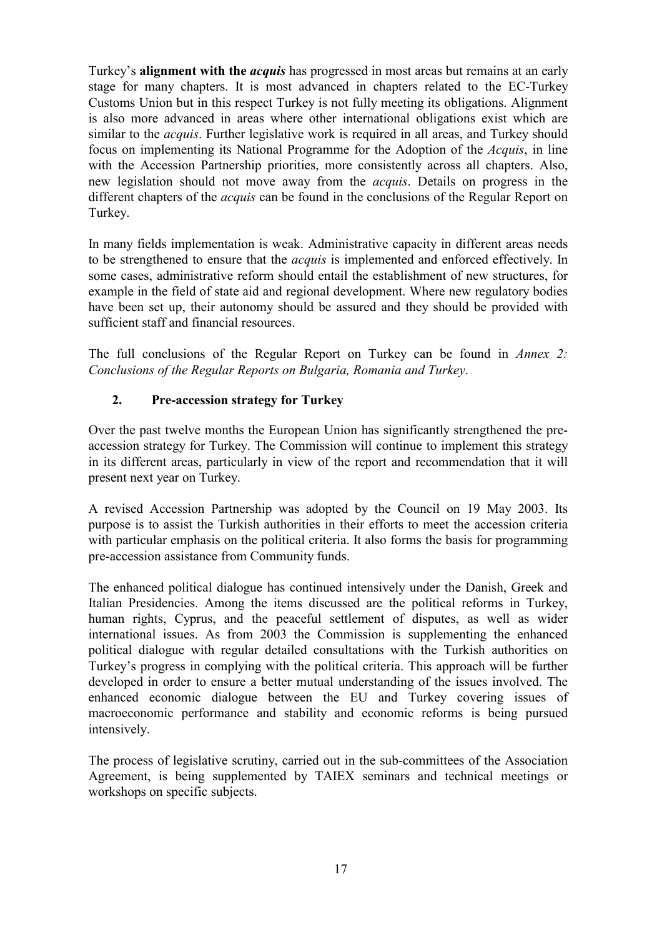Turkey's **alignment with the** *acquis* has progressed in most areas but remains at an early stage for many chapters. It is most advanced in chapters related to the EC-Turkey Customs Union but in this respect Turkey is not fully meeting its obligations. Alignment is also more advanced in areas where other international obligations exist which are similar to the *acquis*. Further legislative work is required in all areas, and Turkey should focus on implementing its National Programme for the Adoption of the *Acquis*, in line with the Accession Partnership priorities, more consistently across all chapters. Also, new legislation should not move away from the *acquis*. Details on progress in the different chapters of the *acquis* can be found in the conclusions of the Regular Report on Turkey.

In many fields implementation is weak. Administrative capacity in different areas needs to be strengthened to ensure that the *acquis* is implemented and enforced effectively. In some cases, administrative reform should entail the establishment of new structures, for example in the field of state aid and regional development. Where new regulatory bodies have been set up, their autonomy should be assured and they should be provided with sufficient staff and financial resources.

The full conclusions of the Regular Report on Turkey can be found in *Annex 2: Conclusions of the Regular Reports on Bulgaria, Romania and Turkey*.

## **2. Pre-accession strategy for Turkey**

Over the past twelve months the European Union has significantly strengthened the preaccession strategy for Turkey. The Commission will continue to implement this strategy in its different areas, particularly in view of the report and recommendation that it will present next year on Turkey.

A revised Accession Partnership was adopted by the Council on 19 May 2003. Its purpose is to assist the Turkish authorities in their efforts to meet the accession criteria with particular emphasis on the political criteria. It also forms the basis for programming pre-accession assistance from Community funds.

The enhanced political dialogue has continued intensively under the Danish, Greek and Italian Presidencies. Among the items discussed are the political reforms in Turkey, human rights, Cyprus, and the peaceful settlement of disputes, as well as wider international issues. As from 2003 the Commission is supplementing the enhanced political dialogue with regular detailed consultations with the Turkish authorities on Turkey's progress in complying with the political criteria. This approach will be further developed in order to ensure a better mutual understanding of the issues involved. The enhanced economic dialogue between the EU and Turkey covering issues of macroeconomic performance and stability and economic reforms is being pursued intensively.

The process of legislative scrutiny, carried out in the sub-committees of the Association Agreement, is being supplemented by TAIEX seminars and technical meetings or workshops on specific subjects.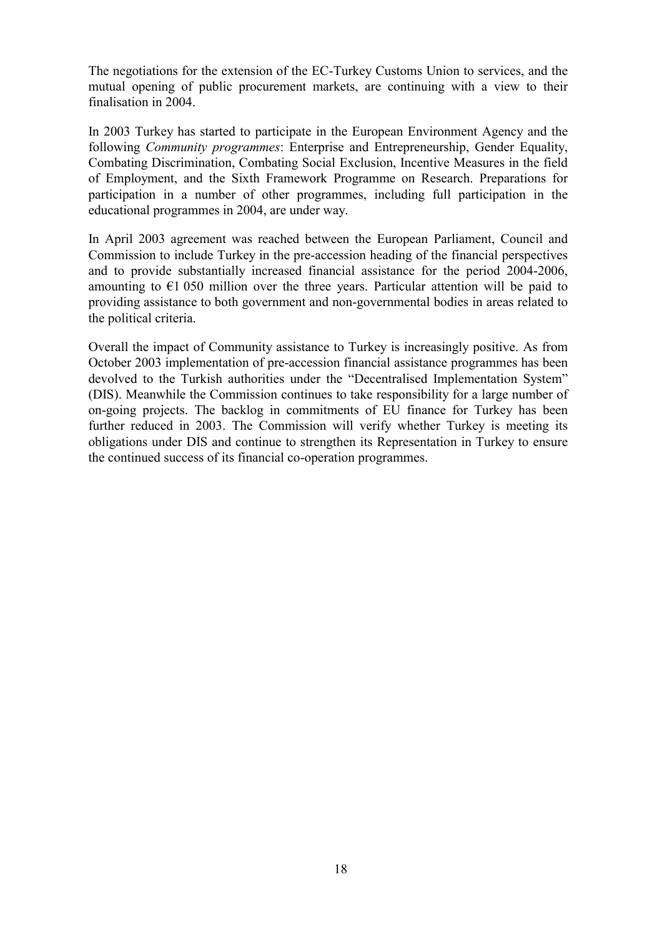The negotiations for the extension of the EC-Turkey Customs Union to services, and the mutual opening of public procurement markets, are continuing with a view to their finalisation in 2004.

In 2003 Turkey has started to participate in the European Environment Agency and the following *Community programmes*: Enterprise and Entrepreneurship, Gender Equality, Combating Discrimination, Combating Social Exclusion, Incentive Measures in the field of Employment, and the Sixth Framework Programme on Research. Preparations for participation in a number of other programmes, including full participation in the educational programmes in 2004, are under way.

In April 2003 agreement was reached between the European Parliament, Council and Commission to include Turkey in the pre-accession heading of the financial perspectives and to provide substantially increased financial assistance for the period 2004-2006, amounting to  $\epsilon$ 1 050 million over the three years. Particular attention will be paid to providing assistance to both government and non-governmental bodies in areas related to the political criteria.

Overall the impact of Community assistance to Turkey is increasingly positive. As from October 2003 implementation of pre-accession financial assistance programmes has been devolved to the Turkish authorities under the "Decentralised Implementation System" (DIS). Meanwhile the Commission continues to take responsibility for a large number of on-going projects. The backlog in commitments of EU finance for Turkey has been further reduced in 2003. The Commission will verify whether Turkey is meeting its obligations under DIS and continue to strengthen its Representation in Turkey to ensure the continued success of its financial co-operation programmes.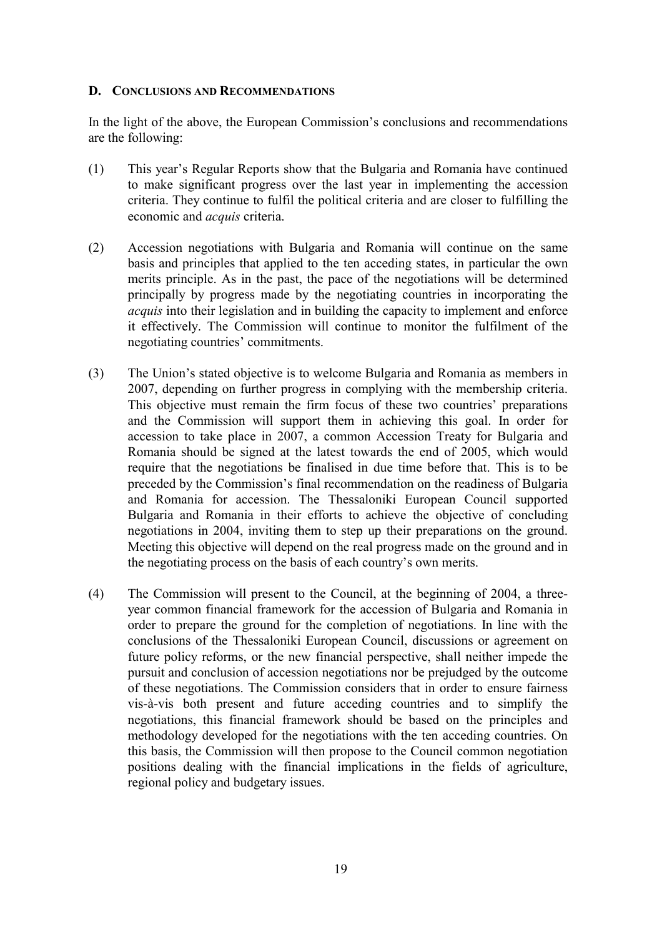### **D. CONCLUSIONS AND RECOMMENDATIONS**

In the light of the above, the European Commission's conclusions and recommendations are the following:

- (1) This year's Regular Reports show that the Bulgaria and Romania have continued to make significant progress over the last year in implementing the accession criteria. They continue to fulfil the political criteria and are closer to fulfilling the economic and *acquis* criteria.
- (2) Accession negotiations with Bulgaria and Romania will continue on the same basis and principles that applied to the ten acceding states, in particular the own merits principle. As in the past, the pace of the negotiations will be determined principally by progress made by the negotiating countries in incorporating the *acquis* into their legislation and in building the capacity to implement and enforce it effectively. The Commission will continue to monitor the fulfilment of the negotiating countries' commitments.
- (3) The Union's stated objective is to welcome Bulgaria and Romania as members in 2007, depending on further progress in complying with the membership criteria. This objective must remain the firm focus of these two countries' preparations and the Commission will support them in achieving this goal. In order for accession to take place in 2007, a common Accession Treaty for Bulgaria and Romania should be signed at the latest towards the end of 2005, which would require that the negotiations be finalised in due time before that. This is to be preceded by the Commission's final recommendation on the readiness of Bulgaria and Romania for accession. The Thessaloniki European Council supported Bulgaria and Romania in their efforts to achieve the objective of concluding negotiations in 2004, inviting them to step up their preparations on the ground. Meeting this objective will depend on the real progress made on the ground and in the negotiating process on the basis of each country's own merits.
- (4) The Commission will present to the Council, at the beginning of 2004, a threeyear common financial framework for the accession of Bulgaria and Romania in order to prepare the ground for the completion of negotiations. In line with the conclusions of the Thessaloniki European Council, discussions or agreement on future policy reforms, or the new financial perspective, shall neither impede the pursuit and conclusion of accession negotiations nor be prejudged by the outcome of these negotiations. The Commission considers that in order to ensure fairness vis-à-vis both present and future acceding countries and to simplify the negotiations, this financial framework should be based on the principles and methodology developed for the negotiations with the ten acceding countries. On this basis, the Commission will then propose to the Council common negotiation positions dealing with the financial implications in the fields of agriculture, regional policy and budgetary issues.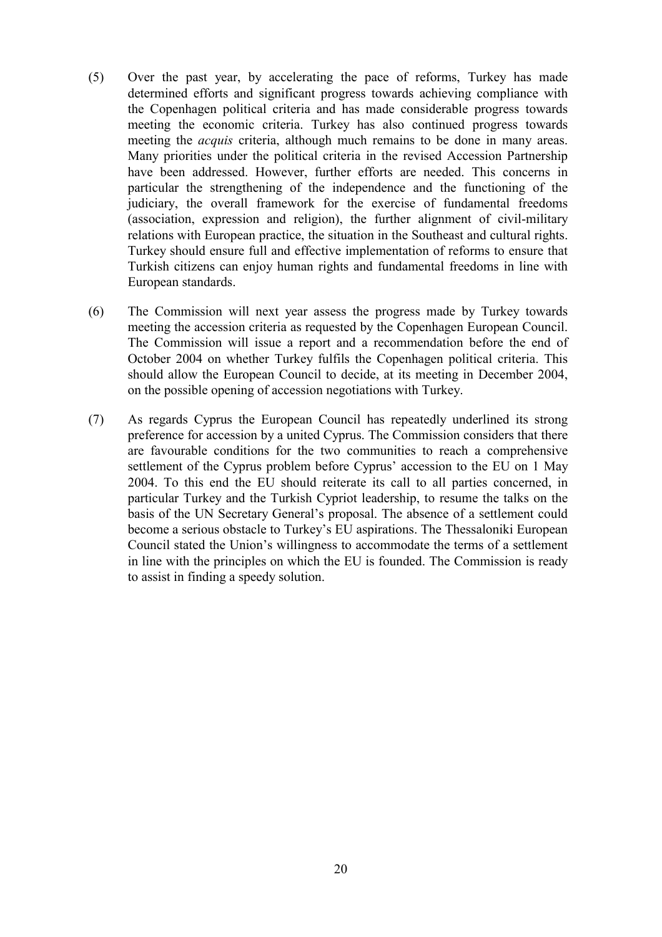- (5) Over the past year, by accelerating the pace of reforms, Turkey has made determined efforts and significant progress towards achieving compliance with the Copenhagen political criteria and has made considerable progress towards meeting the economic criteria. Turkey has also continued progress towards meeting the *acquis* criteria, although much remains to be done in many areas. Many priorities under the political criteria in the revised Accession Partnership have been addressed. However, further efforts are needed. This concerns in particular the strengthening of the independence and the functioning of the judiciary, the overall framework for the exercise of fundamental freedoms (association, expression and religion), the further alignment of civil-military relations with European practice, the situation in the Southeast and cultural rights. Turkey should ensure full and effective implementation of reforms to ensure that Turkish citizens can enjoy human rights and fundamental freedoms in line with European standards.
- (6) The Commission will next year assess the progress made by Turkey towards meeting the accession criteria as requested by the Copenhagen European Council. The Commission will issue a report and a recommendation before the end of October 2004 on whether Turkey fulfils the Copenhagen political criteria. This should allow the European Council to decide, at its meeting in December 2004, on the possible opening of accession negotiations with Turkey.
- (7) As regards Cyprus the European Council has repeatedly underlined its strong preference for accession by a united Cyprus. The Commission considers that there are favourable conditions for the two communities to reach a comprehensive settlement of the Cyprus problem before Cyprus' accession to the EU on 1 May 2004. To this end the EU should reiterate its call to all parties concerned, in particular Turkey and the Turkish Cypriot leadership, to resume the talks on the basis of the UN Secretary General's proposal. The absence of a settlement could become a serious obstacle to Turkey's EU aspirations. The Thessaloniki European Council stated the Union's willingness to accommodate the terms of a settlement in line with the principles on which the EU is founded. The Commission is ready to assist in finding a speedy solution.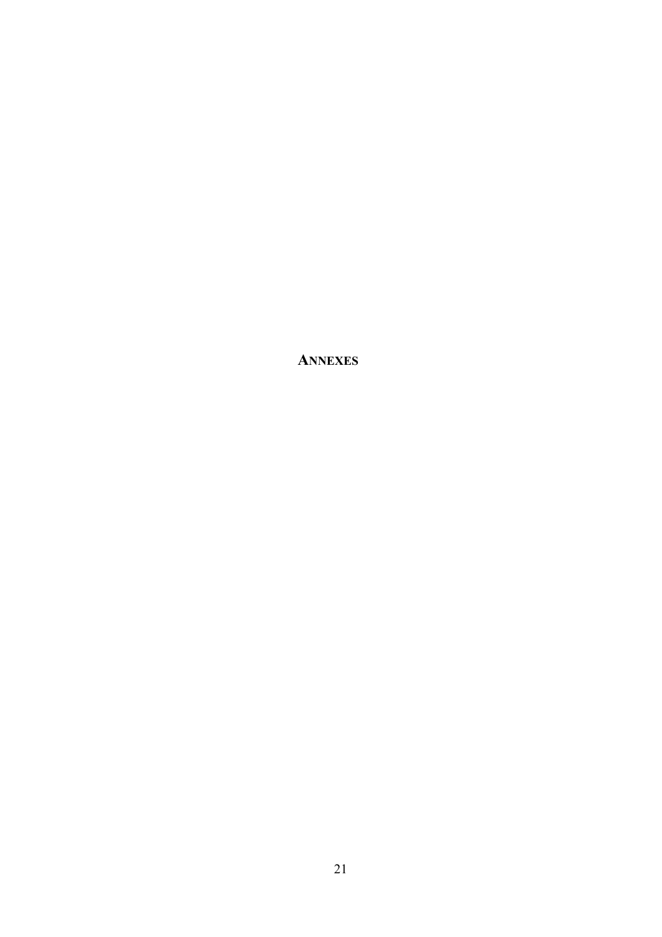**ANNEXES**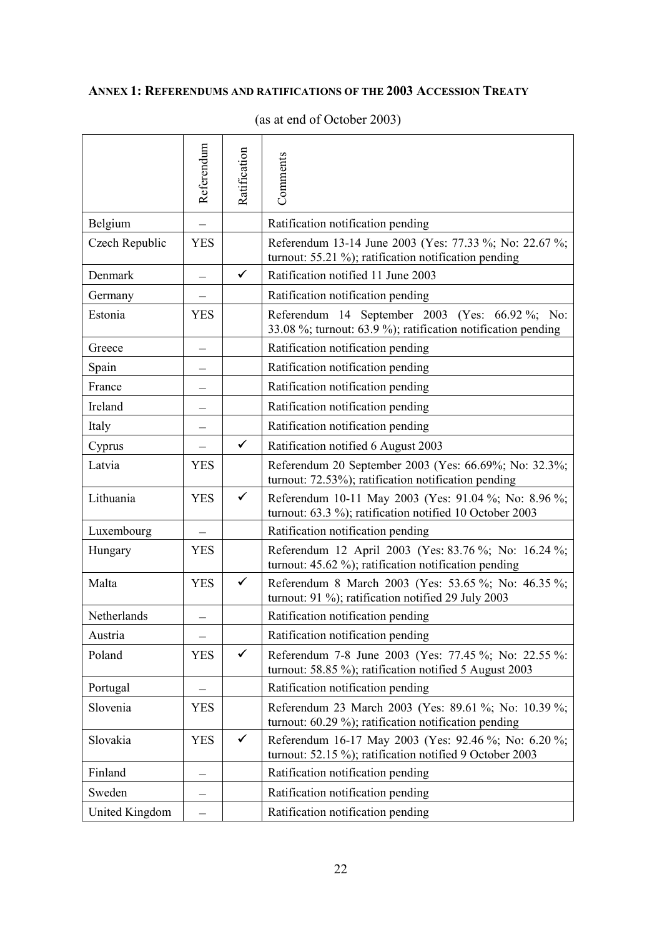# **ANNEX 1: REFERENDUMS AND RATIFICATIONS OF THE 2003 ACCESSION TREATY**

|                | Referendum | Ratification | Comments                                                                                                        |
|----------------|------------|--------------|-----------------------------------------------------------------------------------------------------------------|
| Belgium        |            |              | Ratification notification pending                                                                               |
| Czech Republic | <b>YES</b> |              | Referendum 13-14 June 2003 (Yes: 77.33 %; No: 22.67 %;<br>turnout: 55.21 %); ratification notification pending  |
| Denmark        |            | $\checkmark$ | Ratification notified 11 June 2003                                                                              |
| Germany        |            |              | Ratification notification pending                                                                               |
| Estonia        | <b>YES</b> |              | Referendum 14 September 2003 (Yes: 66.92 %; No:<br>33.08 %; turnout: 63.9 %); ratification notification pending |
| Greece         |            |              | Ratification notification pending                                                                               |
| Spain          |            |              | Ratification notification pending                                                                               |
| France         |            |              | Ratification notification pending                                                                               |
| Ireland        |            |              | Ratification notification pending                                                                               |
| Italy          |            |              | Ratification notification pending                                                                               |
| Cyprus         |            | $\checkmark$ | Ratification notified 6 August 2003                                                                             |
| Latvia         | YES        |              | Referendum 20 September 2003 (Yes: 66.69%; No: 32.3%;<br>turnout: 72.53%); ratification notification pending    |
| Lithuania      | <b>YES</b> | $\checkmark$ | Referendum 10-11 May 2003 (Yes: 91.04 %; No: 8.96 %;<br>turnout: 63.3 %); ratification notified 10 October 2003 |
| Luxembourg     |            |              | Ratification notification pending                                                                               |
| Hungary        | <b>YES</b> |              | Referendum 12 April 2003 (Yes: 83.76 %; No: 16.24 %;<br>turnout: 45.62 %); ratification notification pending    |
| Malta          | <b>YES</b> | $\checkmark$ | Referendum 8 March 2003 (Yes: 53.65%; No: 46.35%;<br>turnout: 91 %); ratification notified 29 July 2003         |
| Netherlands    |            |              | Ratification notification pending                                                                               |
| Austria        |            |              | Ratification notification pending                                                                               |
| Poland         | <b>YES</b> | ✓            | Referendum 7-8 June 2003 (Yes: 77.45 %; No: 22.55 %:<br>turnout: 58.85 %); ratification notified 5 August 2003  |
| Portugal       |            |              | Ratification notification pending                                                                               |
| Slovenia       | <b>YES</b> |              | Referendum 23 March 2003 (Yes: 89.61 %; No: 10.39 %;<br>turnout: $60.29\%$ ); ratification notification pending |
| Slovakia       | <b>YES</b> | $\checkmark$ | Referendum 16-17 May 2003 (Yes: 92.46 %; No: 6.20 %;<br>turnout: 52.15 %); ratification notified 9 October 2003 |
| Finland        |            |              | Ratification notification pending                                                                               |
| Sweden         |            |              | Ratification notification pending                                                                               |
| United Kingdom |            |              | Ratification notification pending                                                                               |

(as at end of October 2003)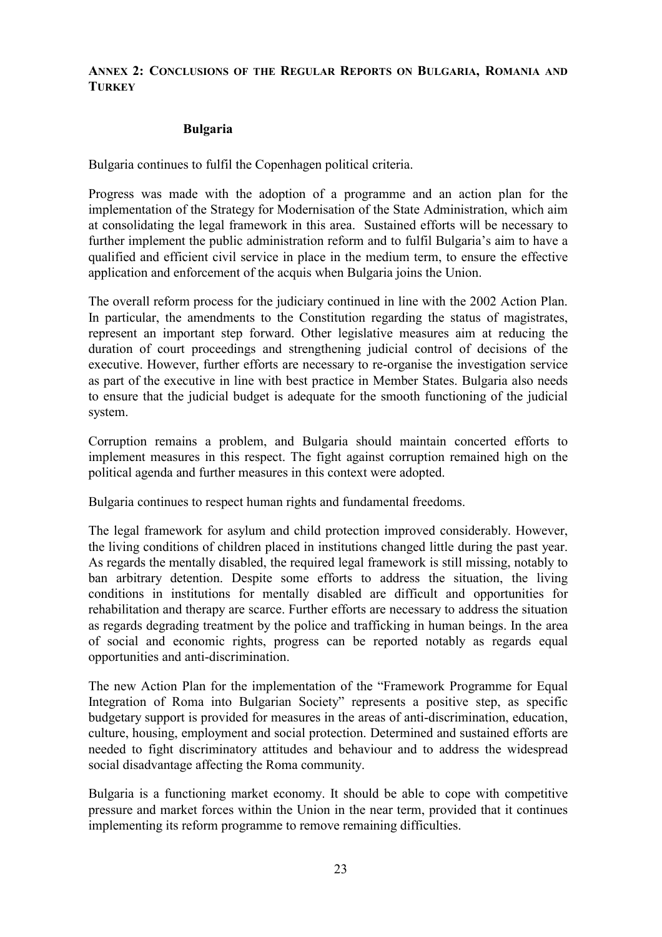## **ANNEX 2: CONCLUSIONS OF THE REGULAR REPORTS ON BULGARIA, ROMANIA AND TURKEY**

### **Bulgaria**

Bulgaria continues to fulfil the Copenhagen political criteria.

Progress was made with the adoption of a programme and an action plan for the implementation of the Strategy for Modernisation of the State Administration, which aim at consolidating the legal framework in this area. Sustained efforts will be necessary to further implement the public administration reform and to fulfil Bulgaria's aim to have a qualified and efficient civil service in place in the medium term, to ensure the effective application and enforcement of the acquis when Bulgaria joins the Union.

The overall reform process for the judiciary continued in line with the 2002 Action Plan. In particular, the amendments to the Constitution regarding the status of magistrates, represent an important step forward. Other legislative measures aim at reducing the duration of court proceedings and strengthening judicial control of decisions of the executive. However, further efforts are necessary to re-organise the investigation service as part of the executive in line with best practice in Member States. Bulgaria also needs to ensure that the judicial budget is adequate for the smooth functioning of the judicial system.

Corruption remains a problem, and Bulgaria should maintain concerted efforts to implement measures in this respect. The fight against corruption remained high on the political agenda and further measures in this context were adopted.

Bulgaria continues to respect human rights and fundamental freedoms.

The legal framework for asylum and child protection improved considerably. However, the living conditions of children placed in institutions changed little during the past year. As regards the mentally disabled, the required legal framework is still missing, notably to ban arbitrary detention. Despite some efforts to address the situation, the living conditions in institutions for mentally disabled are difficult and opportunities for rehabilitation and therapy are scarce. Further efforts are necessary to address the situation as regards degrading treatment by the police and trafficking in human beings. In the area of social and economic rights, progress can be reported notably as regards equal opportunities and anti-discrimination.

The new Action Plan for the implementation of the "Framework Programme for Equal Integration of Roma into Bulgarian Society" represents a positive step, as specific budgetary support is provided for measures in the areas of anti-discrimination, education, culture, housing, employment and social protection. Determined and sustained efforts are needed to fight discriminatory attitudes and behaviour and to address the widespread social disadvantage affecting the Roma community.

Bulgaria is a functioning market economy. It should be able to cope with competitive pressure and market forces within the Union in the near term, provided that it continues implementing its reform programme to remove remaining difficulties.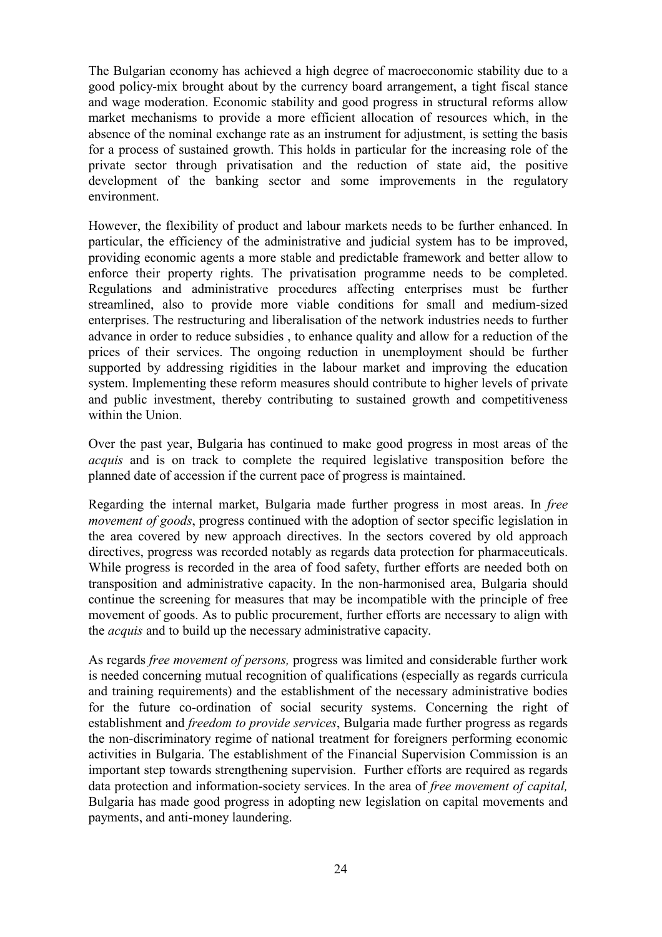The Bulgarian economy has achieved a high degree of macroeconomic stability due to a good policy-mix brought about by the currency board arrangement, a tight fiscal stance and wage moderation. Economic stability and good progress in structural reforms allow market mechanisms to provide a more efficient allocation of resources which, in the absence of the nominal exchange rate as an instrument for adjustment, is setting the basis for a process of sustained growth. This holds in particular for the increasing role of the private sector through privatisation and the reduction of state aid, the positive development of the banking sector and some improvements in the regulatory environment.

However, the flexibility of product and labour markets needs to be further enhanced. In particular, the efficiency of the administrative and judicial system has to be improved, providing economic agents a more stable and predictable framework and better allow to enforce their property rights. The privatisation programme needs to be completed. Regulations and administrative procedures affecting enterprises must be further streamlined, also to provide more viable conditions for small and medium-sized enterprises. The restructuring and liberalisation of the network industries needs to further advance in order to reduce subsidies , to enhance quality and allow for a reduction of the prices of their services. The ongoing reduction in unemployment should be further supported by addressing rigidities in the labour market and improving the education system. Implementing these reform measures should contribute to higher levels of private and public investment, thereby contributing to sustained growth and competitiveness within the Union.

Over the past year, Bulgaria has continued to make good progress in most areas of the *acquis* and is on track to complete the required legislative transposition before the planned date of accession if the current pace of progress is maintained.

Regarding the internal market, Bulgaria made further progress in most areas. In *free movement of goods*, progress continued with the adoption of sector specific legislation in the area covered by new approach directives. In the sectors covered by old approach directives, progress was recorded notably as regards data protection for pharmaceuticals. While progress is recorded in the area of food safety, further efforts are needed both on transposition and administrative capacity. In the non-harmonised area, Bulgaria should continue the screening for measures that may be incompatible with the principle of free movement of goods. As to public procurement, further efforts are necessary to align with the *acquis* and to build up the necessary administrative capacity.

As regards *free movement of persons,* progress was limited and considerable further work is needed concerning mutual recognition of qualifications (especially as regards curricula and training requirements) and the establishment of the necessary administrative bodies for the future co-ordination of social security systems. Concerning the right of establishment and *freedom to provide services*, Bulgaria made further progress as regards the non-discriminatory regime of national treatment for foreigners performing economic activities in Bulgaria. The establishment of the Financial Supervision Commission is an important step towards strengthening supervision. Further efforts are required as regards data protection and information-society services. In the area of *free movement of capital,* Bulgaria has made good progress in adopting new legislation on capital movements and payments, and anti-money laundering.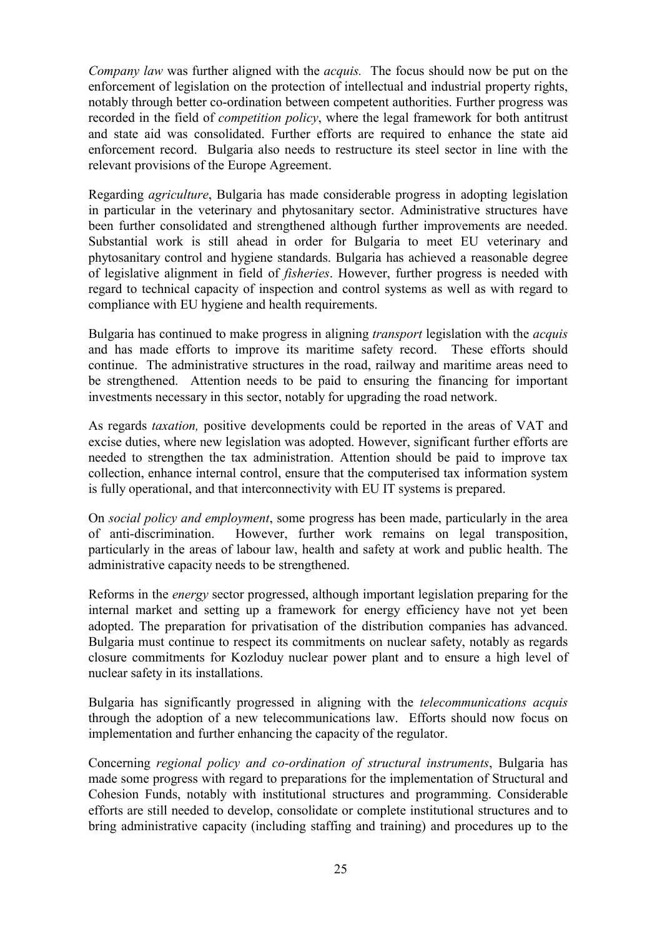*Company law* was further aligned with the *acquis.* The focus should now be put on the enforcement of legislation on the protection of intellectual and industrial property rights, notably through better co-ordination between competent authorities. Further progress was recorded in the field of *competition policy*, where the legal framework for both antitrust and state aid was consolidated. Further efforts are required to enhance the state aid enforcement record. Bulgaria also needs to restructure its steel sector in line with the relevant provisions of the Europe Agreement.

Regarding *agriculture*, Bulgaria has made considerable progress in adopting legislation in particular in the veterinary and phytosanitary sector. Administrative structures have been further consolidated and strengthened although further improvements are needed. Substantial work is still ahead in order for Bulgaria to meet EU veterinary and phytosanitary control and hygiene standards. Bulgaria has achieved a reasonable degree of legislative alignment in field of *fisheries*. However, further progress is needed with regard to technical capacity of inspection and control systems as well as with regard to compliance with EU hygiene and health requirements.

Bulgaria has continued to make progress in aligning *transport* legislation with the *acquis* and has made efforts to improve its maritime safety record. These efforts should continue. The administrative structures in the road, railway and maritime areas need to be strengthened. Attention needs to be paid to ensuring the financing for important investments necessary in this sector, notably for upgrading the road network.

As regards *taxation,* positive developments could be reported in the areas of VAT and excise duties, where new legislation was adopted. However, significant further efforts are needed to strengthen the tax administration. Attention should be paid to improve tax collection, enhance internal control, ensure that the computerised tax information system is fully operational, and that interconnectivity with EU IT systems is prepared.

On *social policy and employment*, some progress has been made, particularly in the area of anti-discrimination. However, further work remains on legal transposition, particularly in the areas of labour law, health and safety at work and public health. The administrative capacity needs to be strengthened.

Reforms in the *energy* sector progressed, although important legislation preparing for the internal market and setting up a framework for energy efficiency have not yet been adopted. The preparation for privatisation of the distribution companies has advanced. Bulgaria must continue to respect its commitments on nuclear safety, notably as regards closure commitments for Kozloduy nuclear power plant and to ensure a high level of nuclear safety in its installations.

Bulgaria has significantly progressed in aligning with the *telecommunications acquis* through the adoption of a new telecommunications law. Efforts should now focus on implementation and further enhancing the capacity of the regulator.

Concerning *regional policy and co-ordination of structural instruments*, Bulgaria has made some progress with regard to preparations for the implementation of Structural and Cohesion Funds, notably with institutional structures and programming. Considerable efforts are still needed to develop, consolidate or complete institutional structures and to bring administrative capacity (including staffing and training) and procedures up to the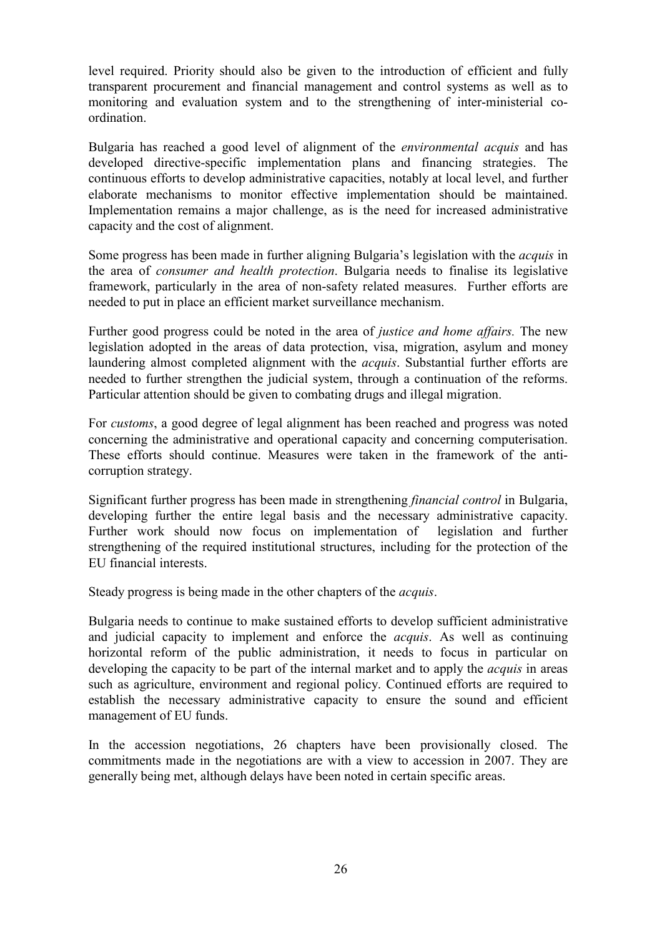level required. Priority should also be given to the introduction of efficient and fully transparent procurement and financial management and control systems as well as to monitoring and evaluation system and to the strengthening of inter-ministerial coordination.

Bulgaria has reached a good level of alignment of the *environmental acquis* and has developed directive-specific implementation plans and financing strategies. The continuous efforts to develop administrative capacities, notably at local level, and further elaborate mechanisms to monitor effective implementation should be maintained. Implementation remains a major challenge, as is the need for increased administrative capacity and the cost of alignment.

Some progress has been made in further aligning Bulgaria's legislation with the *acquis* in the area of *consumer and health protection*. Bulgaria needs to finalise its legislative framework, particularly in the area of non-safety related measures. Further efforts are needed to put in place an efficient market surveillance mechanism.

Further good progress could be noted in the area of *justice and home affairs.* The new legislation adopted in the areas of data protection, visa, migration, asylum and money laundering almost completed alignment with the *acquis*. Substantial further efforts are needed to further strengthen the judicial system, through a continuation of the reforms. Particular attention should be given to combating drugs and illegal migration.

For *customs*, a good degree of legal alignment has been reached and progress was noted concerning the administrative and operational capacity and concerning computerisation. These efforts should continue. Measures were taken in the framework of the anticorruption strategy.

Significant further progress has been made in strengthening *financial control* in Bulgaria, developing further the entire legal basis and the necessary administrative capacity. Further work should now focus on implementation of legislation and further strengthening of the required institutional structures, including for the protection of the EU financial interests.

Steady progress is being made in the other chapters of the *acquis*.

Bulgaria needs to continue to make sustained efforts to develop sufficient administrative and judicial capacity to implement and enforce the *acquis*. As well as continuing horizontal reform of the public administration, it needs to focus in particular on developing the capacity to be part of the internal market and to apply the *acquis* in areas such as agriculture, environment and regional policy. Continued efforts are required to establish the necessary administrative capacity to ensure the sound and efficient management of EU funds.

In the accession negotiations, 26 chapters have been provisionally closed. The commitments made in the negotiations are with a view to accession in 2007. They are generally being met, although delays have been noted in certain specific areas.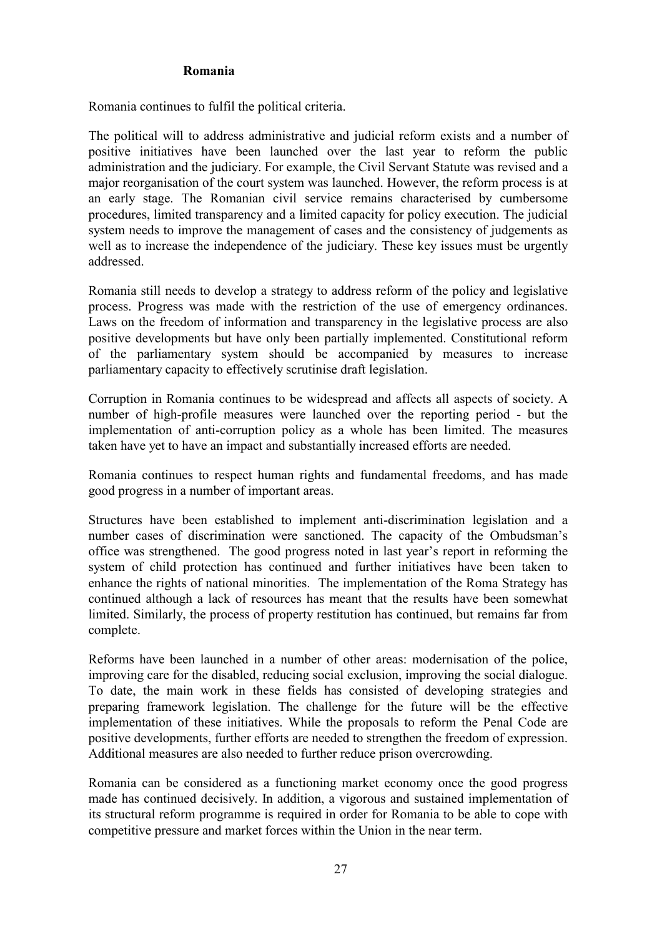## **Romania**

Romania continues to fulfil the political criteria.

The political will to address administrative and judicial reform exists and a number of positive initiatives have been launched over the last year to reform the public administration and the judiciary. For example, the Civil Servant Statute was revised and a major reorganisation of the court system was launched. However, the reform process is at an early stage. The Romanian civil service remains characterised by cumbersome procedures, limited transparency and a limited capacity for policy execution. The judicial system needs to improve the management of cases and the consistency of judgements as well as to increase the independence of the judiciary. These key issues must be urgently addressed.

Romania still needs to develop a strategy to address reform of the policy and legislative process. Progress was made with the restriction of the use of emergency ordinances. Laws on the freedom of information and transparency in the legislative process are also positive developments but have only been partially implemented. Constitutional reform of the parliamentary system should be accompanied by measures to increase parliamentary capacity to effectively scrutinise draft legislation.

Corruption in Romania continues to be widespread and affects all aspects of society. A number of high-profile measures were launched over the reporting period - but the implementation of anti-corruption policy as a whole has been limited. The measures taken have yet to have an impact and substantially increased efforts are needed.

Romania continues to respect human rights and fundamental freedoms, and has made good progress in a number of important areas.

Structures have been established to implement anti-discrimination legislation and a number cases of discrimination were sanctioned. The capacity of the Ombudsman's office was strengthened. The good progress noted in last year's report in reforming the system of child protection has continued and further initiatives have been taken to enhance the rights of national minorities. The implementation of the Roma Strategy has continued although a lack of resources has meant that the results have been somewhat limited. Similarly, the process of property restitution has continued, but remains far from complete.

Reforms have been launched in a number of other areas: modernisation of the police, improving care for the disabled, reducing social exclusion, improving the social dialogue. To date, the main work in these fields has consisted of developing strategies and preparing framework legislation. The challenge for the future will be the effective implementation of these initiatives. While the proposals to reform the Penal Code are positive developments, further efforts are needed to strengthen the freedom of expression. Additional measures are also needed to further reduce prison overcrowding.

Romania can be considered as a functioning market economy once the good progress made has continued decisively. In addition, a vigorous and sustained implementation of its structural reform programme is required in order for Romania to be able to cope with competitive pressure and market forces within the Union in the near term.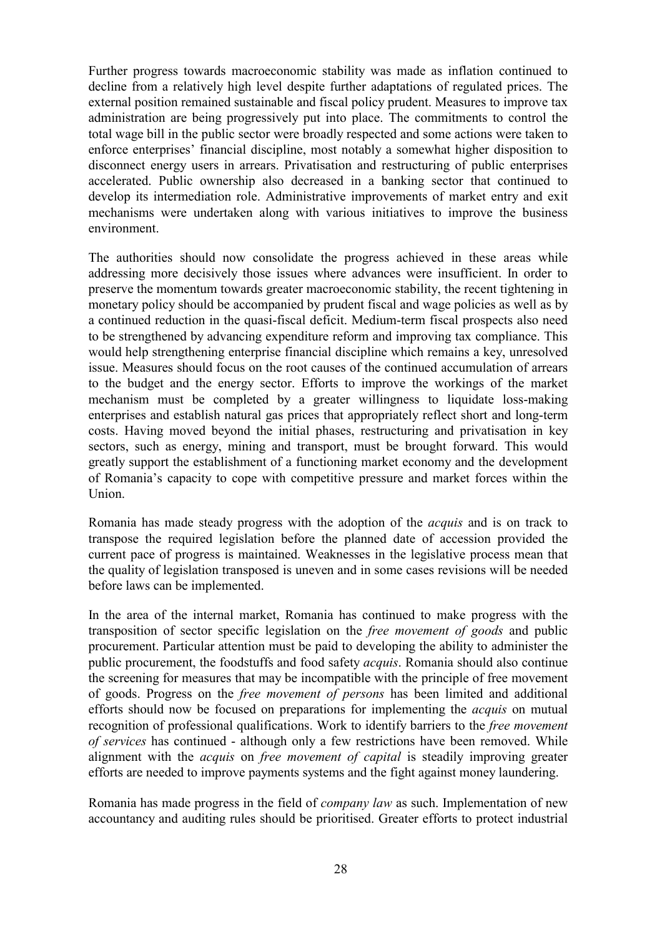Further progress towards macroeconomic stability was made as inflation continued to decline from a relatively high level despite further adaptations of regulated prices. The external position remained sustainable and fiscal policy prudent. Measures to improve tax administration are being progressively put into place. The commitments to control the total wage bill in the public sector were broadly respected and some actions were taken to enforce enterprises' financial discipline, most notably a somewhat higher disposition to disconnect energy users in arrears. Privatisation and restructuring of public enterprises accelerated. Public ownership also decreased in a banking sector that continued to develop its intermediation role. Administrative improvements of market entry and exit mechanisms were undertaken along with various initiatives to improve the business environment.

The authorities should now consolidate the progress achieved in these areas while addressing more decisively those issues where advances were insufficient. In order to preserve the momentum towards greater macroeconomic stability, the recent tightening in monetary policy should be accompanied by prudent fiscal and wage policies as well as by a continued reduction in the quasi-fiscal deficit. Medium-term fiscal prospects also need to be strengthened by advancing expenditure reform and improving tax compliance. This would help strengthening enterprise financial discipline which remains a key, unresolved issue. Measures should focus on the root causes of the continued accumulation of arrears to the budget and the energy sector. Efforts to improve the workings of the market mechanism must be completed by a greater willingness to liquidate loss-making enterprises and establish natural gas prices that appropriately reflect short and long-term costs. Having moved beyond the initial phases, restructuring and privatisation in key sectors, such as energy, mining and transport, must be brought forward. This would greatly support the establishment of a functioning market economy and the development of Romania's capacity to cope with competitive pressure and market forces within the Union.

Romania has made steady progress with the adoption of the *acquis* and is on track to transpose the required legislation before the planned date of accession provided the current pace of progress is maintained. Weaknesses in the legislative process mean that the quality of legislation transposed is uneven and in some cases revisions will be needed before laws can be implemented.

In the area of the internal market, Romania has continued to make progress with the transposition of sector specific legislation on the *free movement of goods* and public procurement. Particular attention must be paid to developing the ability to administer the public procurement, the foodstuffs and food safety *acquis*. Romania should also continue the screening for measures that may be incompatible with the principle of free movement of goods. Progress on the *free movement of persons* has been limited and additional efforts should now be focused on preparations for implementing the *acquis* on mutual recognition of professional qualifications. Work to identify barriers to the *free movement of services* has continued - although only a few restrictions have been removed. While alignment with the *acquis* on *free movement of capital* is steadily improving greater efforts are needed to improve payments systems and the fight against money laundering.

Romania has made progress in the field of *company law* as such. Implementation of new accountancy and auditing rules should be prioritised. Greater efforts to protect industrial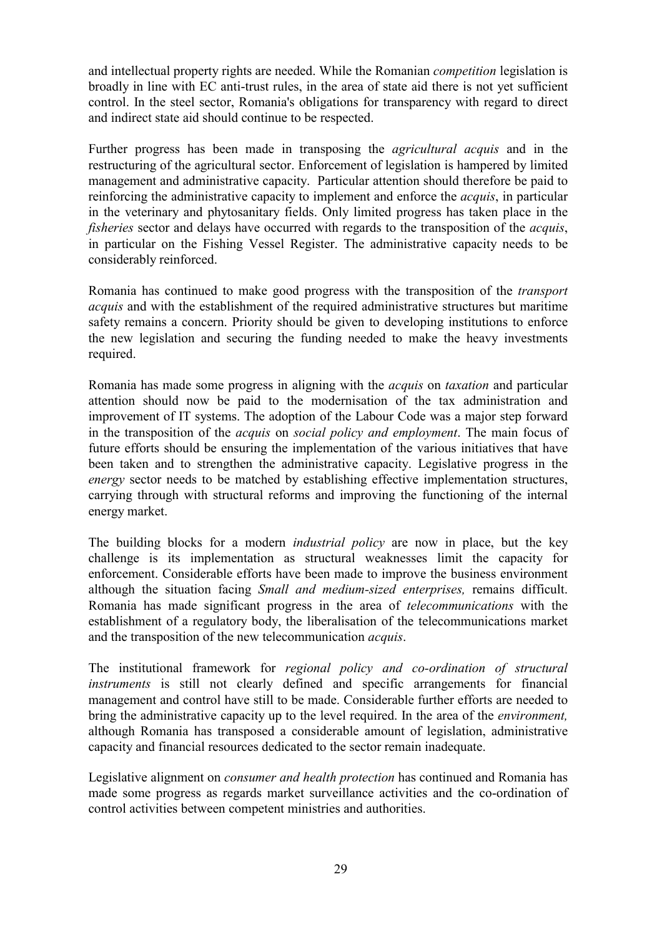and intellectual property rights are needed. While the Romanian *competition* legislation is broadly in line with EC anti-trust rules, in the area of state aid there is not yet sufficient control. In the steel sector, Romania's obligations for transparency with regard to direct and indirect state aid should continue to be respected.

Further progress has been made in transposing the *agricultural acquis* and in the restructuring of the agricultural sector. Enforcement of legislation is hampered by limited management and administrative capacity. Particular attention should therefore be paid to reinforcing the administrative capacity to implement and enforce the *acquis*, in particular in the veterinary and phytosanitary fields. Only limited progress has taken place in the *fisheries* sector and delays have occurred with regards to the transposition of the *acquis*, in particular on the Fishing Vessel Register. The administrative capacity needs to be considerably reinforced.

Romania has continued to make good progress with the transposition of the *transport acquis* and with the establishment of the required administrative structures but maritime safety remains a concern. Priority should be given to developing institutions to enforce the new legislation and securing the funding needed to make the heavy investments required.

Romania has made some progress in aligning with the *acquis* on *taxation* and particular attention should now be paid to the modernisation of the tax administration and improvement of IT systems. The adoption of the Labour Code was a major step forward in the transposition of the *acquis* on *social policy and employment*. The main focus of future efforts should be ensuring the implementation of the various initiatives that have been taken and to strengthen the administrative capacity. Legislative progress in the *energy* sector needs to be matched by establishing effective implementation structures, carrying through with structural reforms and improving the functioning of the internal energy market.

The building blocks for a modern *industrial policy* are now in place, but the key challenge is its implementation as structural weaknesses limit the capacity for enforcement. Considerable efforts have been made to improve the business environment although the situation facing *Small and medium-sized enterprises,* remains difficult. Romania has made significant progress in the area of *telecommunications* with the establishment of a regulatory body, the liberalisation of the telecommunications market and the transposition of the new telecommunication *acquis*.

The institutional framework for *regional policy and co-ordination of structural instruments* is still not clearly defined and specific arrangements for financial management and control have still to be made. Considerable further efforts are needed to bring the administrative capacity up to the level required. In the area of the *environment,* although Romania has transposed a considerable amount of legislation, administrative capacity and financial resources dedicated to the sector remain inadequate.

Legislative alignment on *consumer and health protection* has continued and Romania has made some progress as regards market surveillance activities and the co-ordination of control activities between competent ministries and authorities.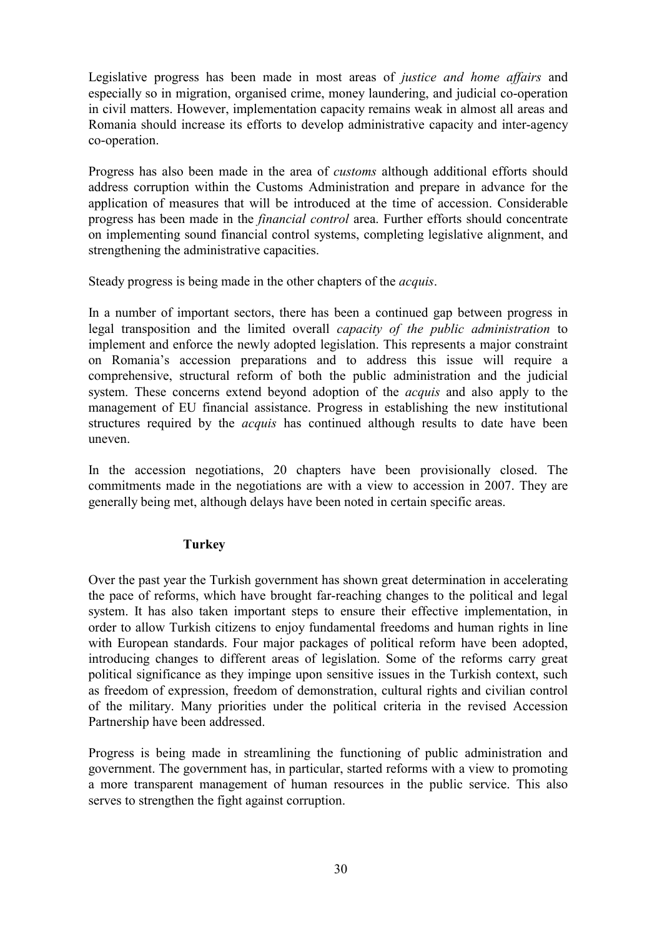Legislative progress has been made in most areas of *justice and home affairs* and especially so in migration, organised crime, money laundering, and judicial co-operation in civil matters. However, implementation capacity remains weak in almost all areas and Romania should increase its efforts to develop administrative capacity and inter-agency co-operation.

Progress has also been made in the area of *customs* although additional efforts should address corruption within the Customs Administration and prepare in advance for the application of measures that will be introduced at the time of accession. Considerable progress has been made in the *financial control* area. Further efforts should concentrate on implementing sound financial control systems, completing legislative alignment, and strengthening the administrative capacities.

Steady progress is being made in the other chapters of the *acquis*.

In a number of important sectors, there has been a continued gap between progress in legal transposition and the limited overall *capacity of the public administration* to implement and enforce the newly adopted legislation. This represents a major constraint on Romania's accession preparations and to address this issue will require a comprehensive, structural reform of both the public administration and the judicial system. These concerns extend beyond adoption of the *acquis* and also apply to the management of EU financial assistance. Progress in establishing the new institutional structures required by the *acquis* has continued although results to date have been uneven.

In the accession negotiations, 20 chapters have been provisionally closed. The commitments made in the negotiations are with a view to accession in 2007. They are generally being met, although delays have been noted in certain specific areas.

### **Turkey**

Over the past year the Turkish government has shown great determination in accelerating the pace of reforms, which have brought far-reaching changes to the political and legal system. It has also taken important steps to ensure their effective implementation, in order to allow Turkish citizens to enjoy fundamental freedoms and human rights in line with European standards. Four major packages of political reform have been adopted, introducing changes to different areas of legislation. Some of the reforms carry great political significance as they impinge upon sensitive issues in the Turkish context, such as freedom of expression, freedom of demonstration, cultural rights and civilian control of the military. Many priorities under the political criteria in the revised Accession Partnership have been addressed.

Progress is being made in streamlining the functioning of public administration and government. The government has, in particular, started reforms with a view to promoting a more transparent management of human resources in the public service. This also serves to strengthen the fight against corruption.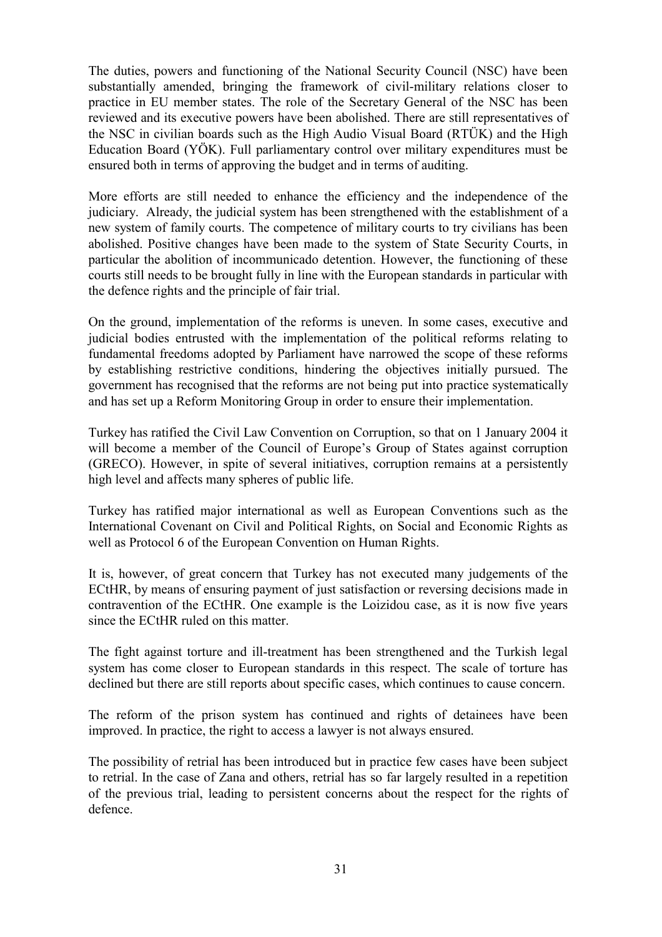The duties, powers and functioning of the National Security Council (NSC) have been substantially amended, bringing the framework of civil-military relations closer to practice in EU member states. The role of the Secretary General of the NSC has been reviewed and its executive powers have been abolished. There are still representatives of the NSC in civilian boards such as the High Audio Visual Board (RTÜK) and the High Education Board (YÖK). Full parliamentary control over military expenditures must be ensured both in terms of approving the budget and in terms of auditing.

More efforts are still needed to enhance the efficiency and the independence of the judiciary. Already, the judicial system has been strengthened with the establishment of a new system of family courts. The competence of military courts to try civilians has been abolished. Positive changes have been made to the system of State Security Courts, in particular the abolition of incommunicado detention. However, the functioning of these courts still needs to be brought fully in line with the European standards in particular with the defence rights and the principle of fair trial.

On the ground, implementation of the reforms is uneven. In some cases, executive and judicial bodies entrusted with the implementation of the political reforms relating to fundamental freedoms adopted by Parliament have narrowed the scope of these reforms by establishing restrictive conditions, hindering the objectives initially pursued. The government has recognised that the reforms are not being put into practice systematically and has set up a Reform Monitoring Group in order to ensure their implementation.

Turkey has ratified the Civil Law Convention on Corruption, so that on 1 January 2004 it will become a member of the Council of Europe's Group of States against corruption (GRECO). However, in spite of several initiatives, corruption remains at a persistently high level and affects many spheres of public life.

Turkey has ratified major international as well as European Conventions such as the International Covenant on Civil and Political Rights, on Social and Economic Rights as well as Protocol 6 of the European Convention on Human Rights.

It is, however, of great concern that Turkey has not executed many judgements of the ECtHR, by means of ensuring payment of just satisfaction or reversing decisions made in contravention of the ECtHR. One example is the Loizidou case, as it is now five years since the ECtHR ruled on this matter.

The fight against torture and ill-treatment has been strengthened and the Turkish legal system has come closer to European standards in this respect. The scale of torture has declined but there are still reports about specific cases, which continues to cause concern.

The reform of the prison system has continued and rights of detainees have been improved. In practice, the right to access a lawyer is not always ensured.

The possibility of retrial has been introduced but in practice few cases have been subject to retrial. In the case of Zana and others, retrial has so far largely resulted in a repetition of the previous trial, leading to persistent concerns about the respect for the rights of defence.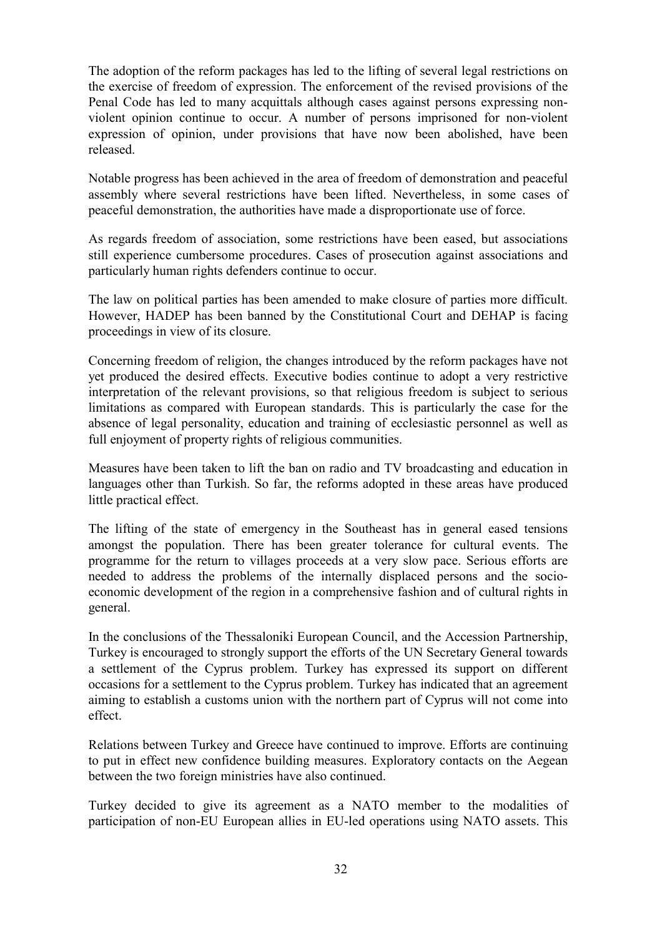The adoption of the reform packages has led to the lifting of several legal restrictions on the exercise of freedom of expression. The enforcement of the revised provisions of the Penal Code has led to many acquittals although cases against persons expressing nonviolent opinion continue to occur. A number of persons imprisoned for non-violent expression of opinion, under provisions that have now been abolished, have been released.

Notable progress has been achieved in the area of freedom of demonstration and peaceful assembly where several restrictions have been lifted. Nevertheless, in some cases of peaceful demonstration, the authorities have made a disproportionate use of force.

As regards freedom of association, some restrictions have been eased, but associations still experience cumbersome procedures. Cases of prosecution against associations and particularly human rights defenders continue to occur.

The law on political parties has been amended to make closure of parties more difficult. However, HADEP has been banned by the Constitutional Court and DEHAP is facing proceedings in view of its closure.

Concerning freedom of religion, the changes introduced by the reform packages have not yet produced the desired effects. Executive bodies continue to adopt a very restrictive interpretation of the relevant provisions, so that religious freedom is subject to serious limitations as compared with European standards. This is particularly the case for the absence of legal personality, education and training of ecclesiastic personnel as well as full enjoyment of property rights of religious communities.

Measures have been taken to lift the ban on radio and TV broadcasting and education in languages other than Turkish. So far, the reforms adopted in these areas have produced little practical effect.

The lifting of the state of emergency in the Southeast has in general eased tensions amongst the population. There has been greater tolerance for cultural events. The programme for the return to villages proceeds at a very slow pace. Serious efforts are needed to address the problems of the internally displaced persons and the socioeconomic development of the region in a comprehensive fashion and of cultural rights in general.

In the conclusions of the Thessaloniki European Council, and the Accession Partnership, Turkey is encouraged to strongly support the efforts of the UN Secretary General towards a settlement of the Cyprus problem. Turkey has expressed its support on different occasions for a settlement to the Cyprus problem. Turkey has indicated that an agreement aiming to establish a customs union with the northern part of Cyprus will not come into effect.

Relations between Turkey and Greece have continued to improve. Efforts are continuing to put in effect new confidence building measures. Exploratory contacts on the Aegean between the two foreign ministries have also continued.

Turkey decided to give its agreement as a NATO member to the modalities of participation of non-EU European allies in EU-led operations using NATO assets. This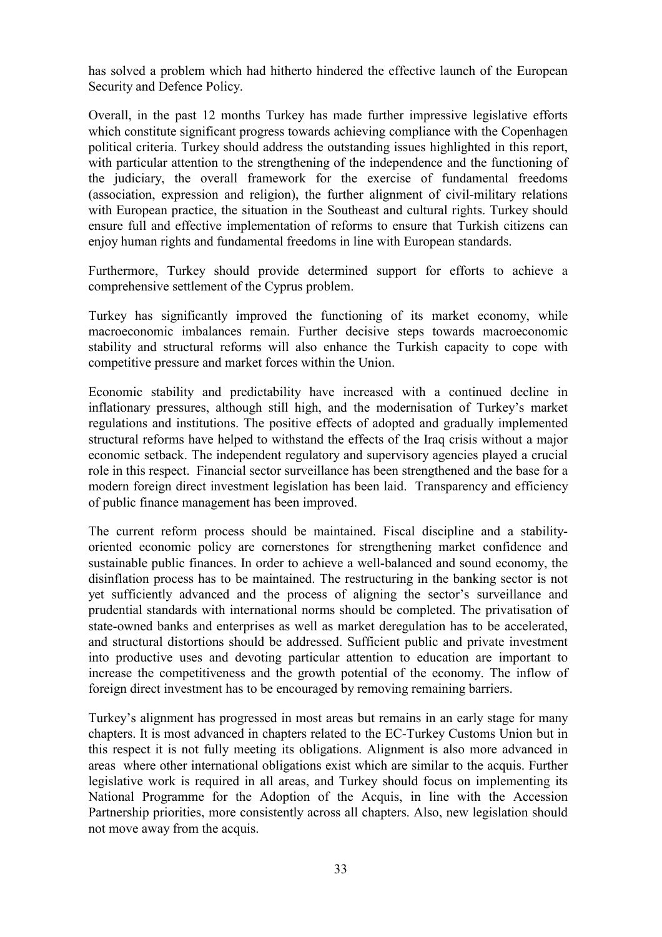has solved a problem which had hitherto hindered the effective launch of the European Security and Defence Policy.

Overall, in the past 12 months Turkey has made further impressive legislative efforts which constitute significant progress towards achieving compliance with the Copenhagen political criteria. Turkey should address the outstanding issues highlighted in this report, with particular attention to the strengthening of the independence and the functioning of the judiciary, the overall framework for the exercise of fundamental freedoms (association, expression and religion), the further alignment of civil-military relations with European practice, the situation in the Southeast and cultural rights. Turkey should ensure full and effective implementation of reforms to ensure that Turkish citizens can enjoy human rights and fundamental freedoms in line with European standards.

Furthermore, Turkey should provide determined support for efforts to achieve a comprehensive settlement of the Cyprus problem.

Turkey has significantly improved the functioning of its market economy, while macroeconomic imbalances remain. Further decisive steps towards macroeconomic stability and structural reforms will also enhance the Turkish capacity to cope with competitive pressure and market forces within the Union.

Economic stability and predictability have increased with a continued decline in inflationary pressures, although still high, and the modernisation of Turkey's market regulations and institutions. The positive effects of adopted and gradually implemented structural reforms have helped to withstand the effects of the Iraq crisis without a major economic setback. The independent regulatory and supervisory agencies played a crucial role in this respect. Financial sector surveillance has been strengthened and the base for a modern foreign direct investment legislation has been laid. Transparency and efficiency of public finance management has been improved.

The current reform process should be maintained. Fiscal discipline and a stabilityoriented economic policy are cornerstones for strengthening market confidence and sustainable public finances. In order to achieve a well-balanced and sound economy, the disinflation process has to be maintained. The restructuring in the banking sector is not yet sufficiently advanced and the process of aligning the sector's surveillance and prudential standards with international norms should be completed. The privatisation of state-owned banks and enterprises as well as market deregulation has to be accelerated, and structural distortions should be addressed. Sufficient public and private investment into productive uses and devoting particular attention to education are important to increase the competitiveness and the growth potential of the economy. The inflow of foreign direct investment has to be encouraged by removing remaining barriers.

Turkey's alignment has progressed in most areas but remains in an early stage for many chapters. It is most advanced in chapters related to the EC-Turkey Customs Union but in this respect it is not fully meeting its obligations. Alignment is also more advanced in areas where other international obligations exist which are similar to the acquis. Further legislative work is required in all areas, and Turkey should focus on implementing its National Programme for the Adoption of the Acquis, in line with the Accession Partnership priorities, more consistently across all chapters. Also, new legislation should not move away from the acquis.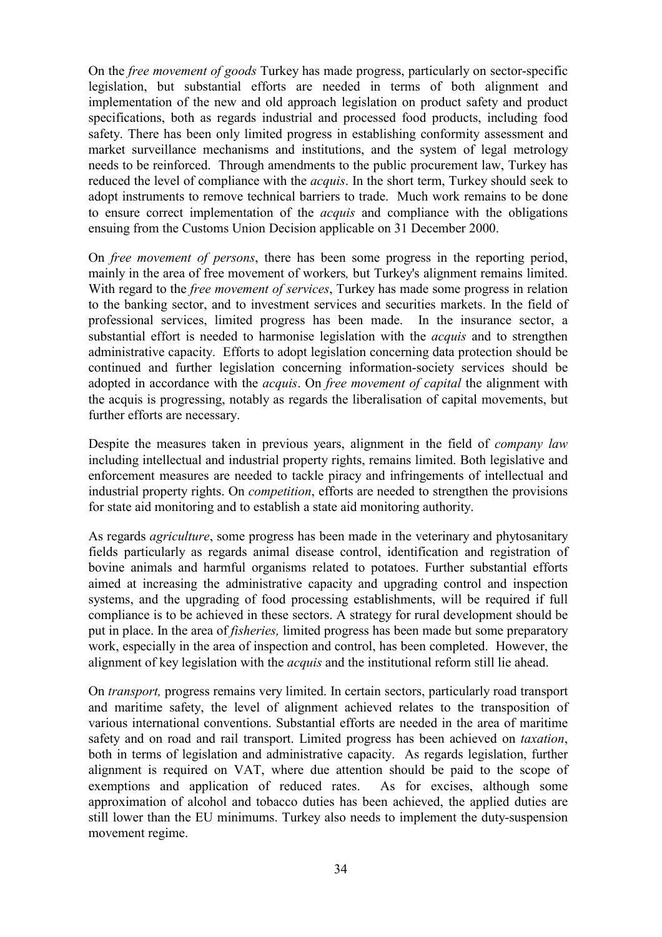On the *free movement of goods* Turkey has made progress, particularly on sector-specific legislation, but substantial efforts are needed in terms of both alignment and implementation of the new and old approach legislation on product safety and product specifications, both as regards industrial and processed food products, including food safety. There has been only limited progress in establishing conformity assessment and market surveillance mechanisms and institutions, and the system of legal metrology needs to be reinforced. Through amendments to the public procurement law, Turkey has reduced the level of compliance with the *acquis*. In the short term, Turkey should seek to adopt instruments to remove technical barriers to trade. Much work remains to be done to ensure correct implementation of the *acquis* and compliance with the obligations ensuing from the Customs Union Decision applicable on 31 December 2000.

On *free movement of persons*, there has been some progress in the reporting period, mainly in the area of free movement of workers*,* but Turkey's alignment remains limited. With regard to the *free movement of services*, Turkey has made some progress in relation to the banking sector, and to investment services and securities markets. In the field of professional services, limited progress has been made. In the insurance sector, a substantial effort is needed to harmonise legislation with the *acquis* and to strengthen administrative capacity. Efforts to adopt legislation concerning data protection should be continued and further legislation concerning information-society services should be adopted in accordance with the *acquis*. On *free movement of capital* the alignment with the acquis is progressing, notably as regards the liberalisation of capital movements, but further efforts are necessary.

Despite the measures taken in previous years, alignment in the field of *company law* including intellectual and industrial property rights, remains limited. Both legislative and enforcement measures are needed to tackle piracy and infringements of intellectual and industrial property rights. On *competition*, efforts are needed to strengthen the provisions for state aid monitoring and to establish a state aid monitoring authority.

As regards *agriculture*, some progress has been made in the veterinary and phytosanitary fields particularly as regards animal disease control, identification and registration of bovine animals and harmful organisms related to potatoes. Further substantial efforts aimed at increasing the administrative capacity and upgrading control and inspection systems, and the upgrading of food processing establishments, will be required if full compliance is to be achieved in these sectors. A strategy for rural development should be put in place. In the area of *fisheries,* limited progress has been made but some preparatory work, especially in the area of inspection and control, has been completed. However, the alignment of key legislation with the *acquis* and the institutional reform still lie ahead.

On *transport,* progress remains very limited. In certain sectors, particularly road transport and maritime safety, the level of alignment achieved relates to the transposition of various international conventions. Substantial efforts are needed in the area of maritime safety and on road and rail transport. Limited progress has been achieved on *taxation*, both in terms of legislation and administrative capacity. As regards legislation, further alignment is required on VAT, where due attention should be paid to the scope of exemptions and application of reduced rates. As for excises, although some approximation of alcohol and tobacco duties has been achieved, the applied duties are still lower than the EU minimums. Turkey also needs to implement the duty-suspension movement regime.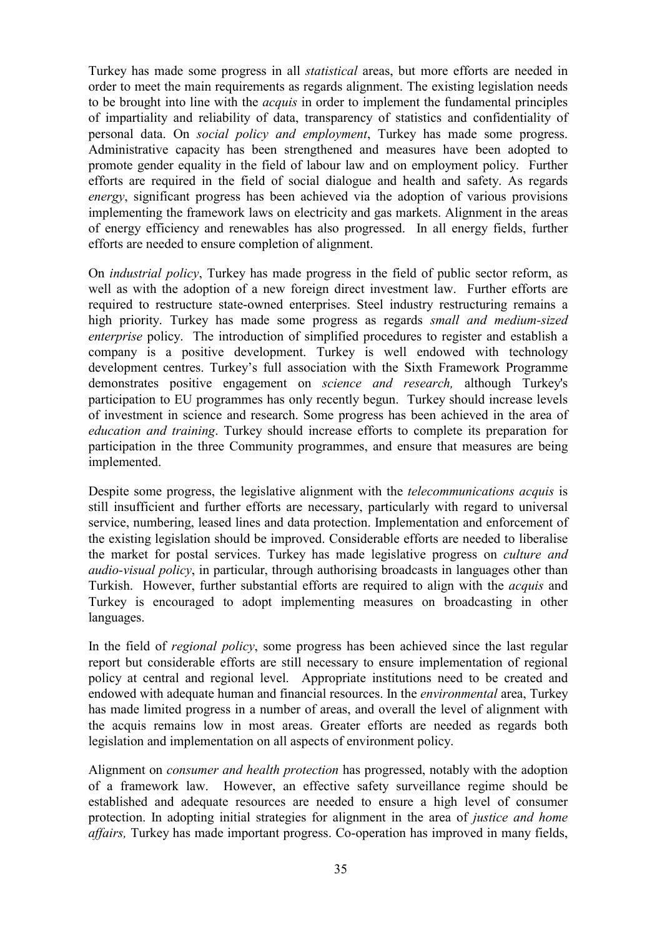Turkey has made some progress in all *statistical* areas, but more efforts are needed in order to meet the main requirements as regards alignment. The existing legislation needs to be brought into line with the *acquis* in order to implement the fundamental principles of impartiality and reliability of data, transparency of statistics and confidentiality of personal data. On *social policy and employment*, Turkey has made some progress. Administrative capacity has been strengthened and measures have been adopted to promote gender equality in the field of labour law and on employment policy. Further efforts are required in the field of social dialogue and health and safety. As regards *energy*, significant progress has been achieved via the adoption of various provisions implementing the framework laws on electricity and gas markets. Alignment in the areas of energy efficiency and renewables has also progressed. In all energy fields, further efforts are needed to ensure completion of alignment.

On *industrial policy*, Turkey has made progress in the field of public sector reform, as well as with the adoption of a new foreign direct investment law. Further efforts are required to restructure state-owned enterprises. Steel industry restructuring remains a high priority. Turkey has made some progress as regards *small and medium-sized enterprise* policy. The introduction of simplified procedures to register and establish a company is a positive development. Turkey is well endowed with technology development centres. Turkey's full association with the Sixth Framework Programme demonstrates positive engagement on *science and research,* although Turkey's participation to EU programmes has only recently begun. Turkey should increase levels of investment in science and research. Some progress has been achieved in the area of *education and training*. Turkey should increase efforts to complete its preparation for participation in the three Community programmes, and ensure that measures are being implemented.

Despite some progress, the legislative alignment with the *telecommunications acquis* is still insufficient and further efforts are necessary, particularly with regard to universal service, numbering, leased lines and data protection. Implementation and enforcement of the existing legislation should be improved. Considerable efforts are needed to liberalise the market for postal services. Turkey has made legislative progress on *culture and audio-visual policy*, in particular, through authorising broadcasts in languages other than Turkish. However, further substantial efforts are required to align with the *acquis* and Turkey is encouraged to adopt implementing measures on broadcasting in other languages.

In the field of *regional policy*, some progress has been achieved since the last regular report but considerable efforts are still necessary to ensure implementation of regional policy at central and regional level. Appropriate institutions need to be created and endowed with adequate human and financial resources. In the *environmental* area, Turkey has made limited progress in a number of areas, and overall the level of alignment with the acquis remains low in most areas. Greater efforts are needed as regards both legislation and implementation on all aspects of environment policy.

Alignment on *consumer and health protection* has progressed, notably with the adoption of a framework law. However, an effective safety surveillance regime should be established and adequate resources are needed to ensure a high level of consumer protection. In adopting initial strategies for alignment in the area of *justice and home affairs,* Turkey has made important progress. Co-operation has improved in many fields,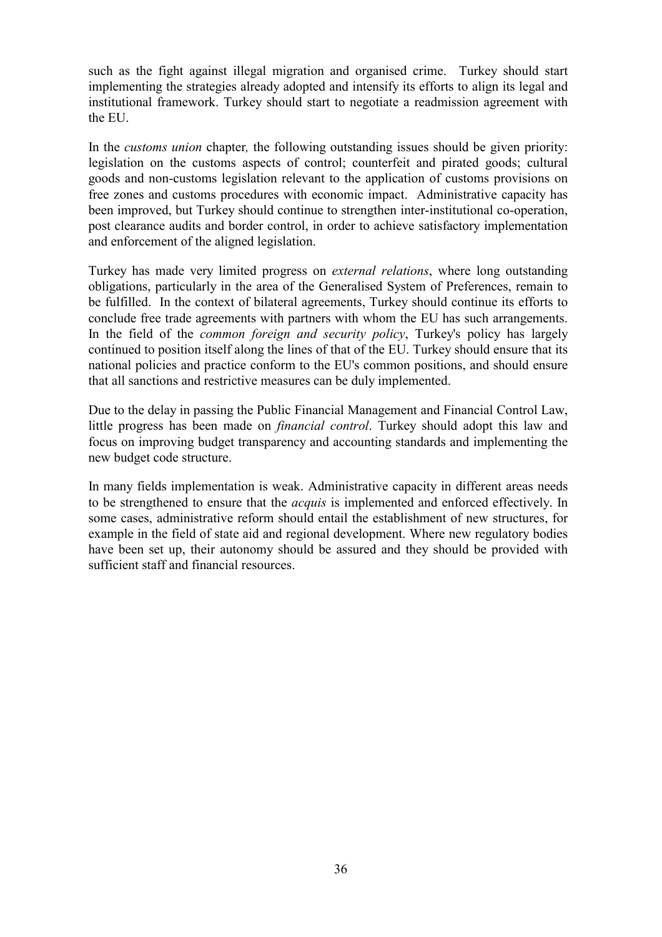such as the fight against illegal migration and organised crime. Turkey should start implementing the strategies already adopted and intensify its efforts to align its legal and institutional framework. Turkey should start to negotiate a readmission agreement with the EU.

In the *customs union* chapter*,* the following outstanding issues should be given priority: legislation on the customs aspects of control; counterfeit and pirated goods; cultural goods and non-customs legislation relevant to the application of customs provisions on free zones and customs procedures with economic impact. Administrative capacity has been improved, but Turkey should continue to strengthen inter-institutional co-operation, post clearance audits and border control, in order to achieve satisfactory implementation and enforcement of the aligned legislation.

Turkey has made very limited progress on *external relations*, where long outstanding obligations, particularly in the area of the Generalised System of Preferences, remain to be fulfilled. In the context of bilateral agreements, Turkey should continue its efforts to conclude free trade agreements with partners with whom the EU has such arrangements. In the field of the *common foreign and security policy*, Turkey's policy has largely continued to position itself along the lines of that of the EU. Turkey should ensure that its national policies and practice conform to the EU's common positions, and should ensure that all sanctions and restrictive measures can be duly implemented.

Due to the delay in passing the Public Financial Management and Financial Control Law, little progress has been made on *financial control*. Turkey should adopt this law and focus on improving budget transparency and accounting standards and implementing the new budget code structure.

In many fields implementation is weak. Administrative capacity in different areas needs to be strengthened to ensure that the *acquis* is implemented and enforced effectively. In some cases, administrative reform should entail the establishment of new structures, for example in the field of state aid and regional development. Where new regulatory bodies have been set up, their autonomy should be assured and they should be provided with sufficient staff and financial resources.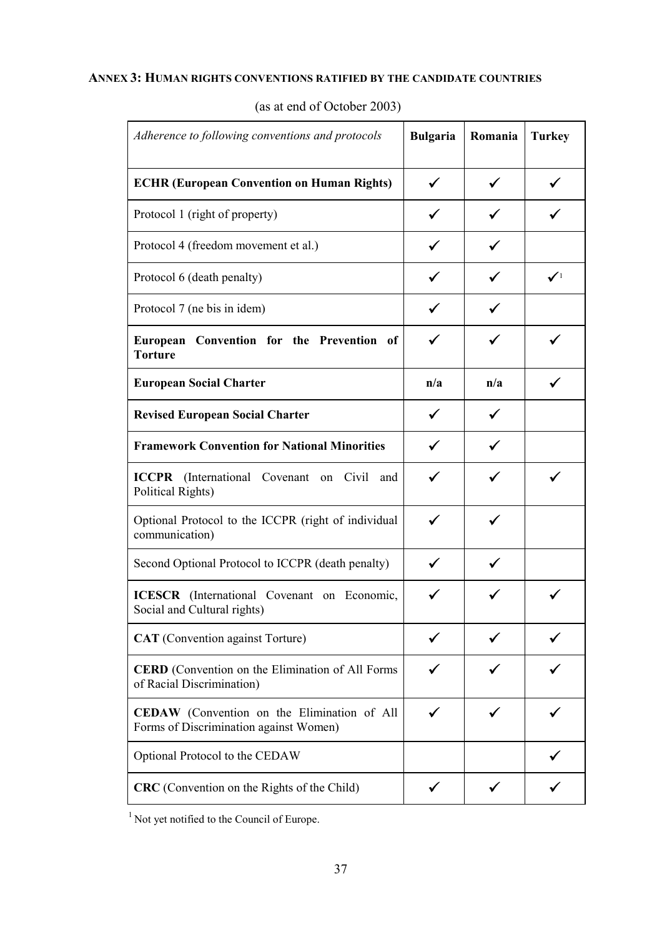### **ANNEX 3: HUMAN RIGHTS CONVENTIONS RATIFIED BY THE CANDIDATE COUNTRIES**

| Adherence to following conventions and protocols                                             | <b>Bulgaria</b> | Romania      | <b>Turkey</b> |
|----------------------------------------------------------------------------------------------|-----------------|--------------|---------------|
| <b>ECHR (European Convention on Human Rights)</b>                                            | $\checkmark$    | $\checkmark$ |               |
| Protocol 1 (right of property)                                                               | ✔               |              |               |
| Protocol 4 (freedom movement et al.)                                                         |                 |              |               |
| Protocol 6 (death penalty)                                                                   |                 |              | $\checkmark$  |
| Protocol 7 (ne bis in idem)                                                                  | $\checkmark$    | $\checkmark$ |               |
| European Convention for the Prevention of<br><b>Torture</b>                                  |                 |              |               |
| <b>European Social Charter</b>                                                               | n/a             | n/a          |               |
| <b>Revised European Social Charter</b>                                                       | $\checkmark$    |              |               |
| <b>Framework Convention for National Minorities</b>                                          |                 |              |               |
| <b>ICCPR</b><br>(International Covenant on Civil<br>and<br>Political Rights)                 | ✓               |              |               |
| Optional Protocol to the ICCPR (right of individual<br>communication)                        | ✓               |              |               |
| Second Optional Protocol to ICCPR (death penalty)                                            | ✓               | ✓            |               |
| (International Covenant on Economic,<br><b>ICESCR</b><br>Social and Cultural rights)         |                 |              |               |
| <b>CAT</b> (Convention against Torture)                                                      |                 |              |               |
| <b>CERD</b> (Convention on the Elimination of All Forms<br>of Racial Discrimination)         |                 |              |               |
| <b>CEDAW</b> (Convention on the Elimination of All<br>Forms of Discrimination against Women) |                 |              |               |
| Optional Protocol to the CEDAW                                                               |                 |              |               |
| <b>CRC</b> (Convention on the Rights of the Child)                                           |                 |              |               |

(as at end of October 2003)

 $^{\rm 1}$  Not yet notified to the Council of Europe.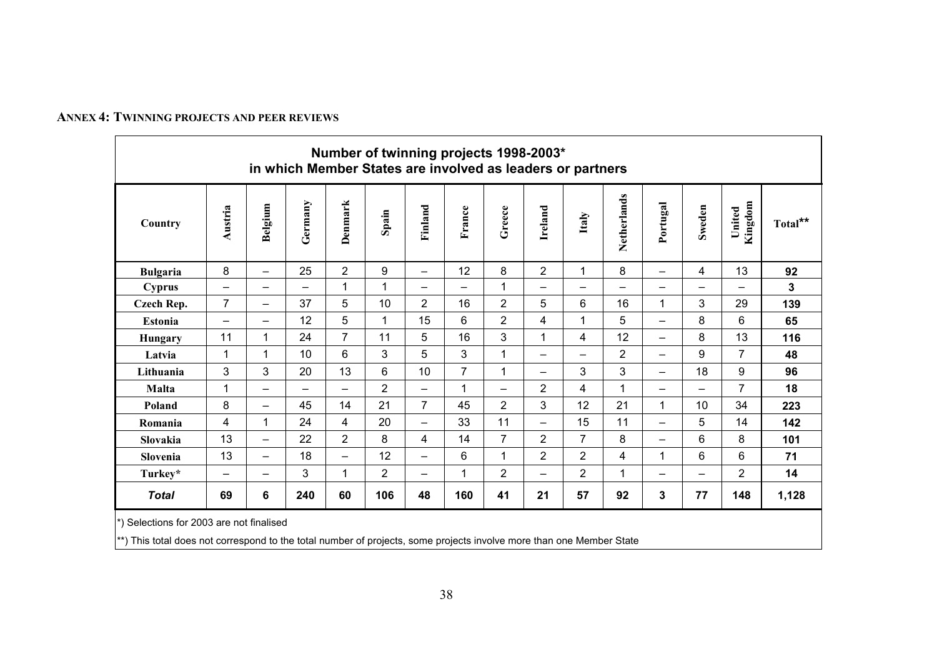#### **ANNEX 4: TWINNING PROJECTS AND PEER REVIEWS**

| Netherlands<br>Denmark<br>Germany<br>Kingdom<br>Portugal<br>Belgium<br>Finland<br>Sweden<br>Austria<br>France<br>Greece<br>Ireland<br>United<br>Spain<br>Italy<br>Country<br>$\overline{c}$<br>8<br>9<br>8<br>$\overline{2}$<br>8<br>25<br>12<br>13<br>$\mathbf 1$<br>4<br><b>Bulgaria</b><br>$\qquad \qquad \qquad$<br>$\overline{\phantom{m}}$<br>$\overline{\phantom{m}}$<br>$\mathbf{1}$<br>$\mathbf{1}$<br>1<br><b>Cyprus</b><br>$\qquad \qquad -$<br>—<br>$\overline{\phantom{m}}$<br>$\qquad \qquad -$<br>$\qquad \qquad -$<br>$\qquad \qquad$<br>$\qquad \qquad$<br>$\qquad \qquad$<br>$\overline{\phantom{m}}$<br>—<br>$\overline{7}$<br>5<br>$\overline{2}$<br>5<br>3<br>10<br>$\overline{2}$<br>6<br>16<br>37<br>16<br>29<br>1<br>Czech Rep.<br>-<br>$\overline{2}$<br>5<br>15<br>6<br>5<br>8<br>6<br>12<br>1<br>4<br>$\mathbf{1}$<br><b>Estonia</b><br>$\qquad \qquad -$<br>—<br>$\qquad \qquad \qquad$<br>$\overline{7}$<br>5<br>3<br>12<br>8<br>11<br>1<br>24<br>11<br>16<br>1<br>13<br>4<br>Hungary<br>—<br>3<br>5<br>3<br>1<br>$\overline{2}$<br>$\mathbf{1}$<br>10<br>6<br>9<br>$\overline{7}$<br>$\mathbf{1}$<br>Latvia<br>$\overline{\phantom{m}}$<br>$\overline{\phantom{m}}$<br>—<br>3<br>3<br>13<br>6<br>10<br>$\overline{7}$<br>1<br>3<br>3<br>18<br>9<br>20<br>Lithuania<br>$\overline{\phantom{m}}$<br>$\overline{\phantom{m}}$<br>$\overline{2}$<br>$\overline{2}$<br>4<br>$\mathbf 1$<br>$\overline{7}$<br>1<br>Malta<br>1<br>$\qquad \qquad -$<br>$\qquad \qquad \qquad$<br>$\overline{\phantom{0}}$<br>—<br>$\qquad \qquad -$<br>$\qquad \qquad \blacksquare$<br>$\overline{\phantom{m}}$<br>3<br>8<br>21<br>$\overline{7}$<br>$\overline{2}$<br>12<br>21<br>14<br>45<br>10<br>34<br>45<br>1<br>Poland<br>$\qquad \qquad -$<br>1<br>20<br>33<br>11<br>15<br>11<br>5<br>24<br>4<br>14<br>4<br>Romania<br>$\overline{\phantom{0}}$<br>$\overline{\phantom{m}}$<br>—<br>$\overline{7}$<br>13<br>$\overline{c}$<br>8<br>$\overline{2}$<br>$\overline{7}$<br>8<br>6<br>8<br>22<br>$\overline{4}$<br>14<br>Slovakia<br>$\qquad \qquad \blacksquare$<br>—<br>18<br>12<br>$\overline{2}$<br>$\overline{2}$<br>6<br>6<br>13<br>6<br>1<br>4<br>1<br>Slovenia<br>$\qquad \qquad \qquad$<br>$\qquad \qquad$<br>$\overline{\phantom{m}}$<br>3<br>$\overline{2}$<br>$\overline{2}$<br>$\overline{2}$<br>$\mathbf{1}$<br>$\mathbf 1$<br>$\overline{2}$<br>1<br>Turkey*<br>$\qquad \qquad -$<br>—<br>$\overline{\phantom{m}}$<br>$\qquad \qquad \blacksquare$<br>$\qquad \qquad$<br>$\qquad \qquad$ | Number of twinning projects 1998-2003*<br>in which Member States are involved as leaders or partners |  |  |  |  |  |  |  |  |  |  |  |  |  |         |
|------------------------------------------------------------------------------------------------------------------------------------------------------------------------------------------------------------------------------------------------------------------------------------------------------------------------------------------------------------------------------------------------------------------------------------------------------------------------------------------------------------------------------------------------------------------------------------------------------------------------------------------------------------------------------------------------------------------------------------------------------------------------------------------------------------------------------------------------------------------------------------------------------------------------------------------------------------------------------------------------------------------------------------------------------------------------------------------------------------------------------------------------------------------------------------------------------------------------------------------------------------------------------------------------------------------------------------------------------------------------------------------------------------------------------------------------------------------------------------------------------------------------------------------------------------------------------------------------------------------------------------------------------------------------------------------------------------------------------------------------------------------------------------------------------------------------------------------------------------------------------------------------------------------------------------------------------------------------------------------------------------------------------------------------------------------------------------------------------------------------------------------------------------------------------------------------------------------------------------------------------------------------------------------------------------------------------------------------------------------------------------------------------------------------------------------------------------------------------------------------------------------|------------------------------------------------------------------------------------------------------|--|--|--|--|--|--|--|--|--|--|--|--|--|---------|
|                                                                                                                                                                                                                                                                                                                                                                                                                                                                                                                                                                                                                                                                                                                                                                                                                                                                                                                                                                                                                                                                                                                                                                                                                                                                                                                                                                                                                                                                                                                                                                                                                                                                                                                                                                                                                                                                                                                                                                                                                                                                                                                                                                                                                                                                                                                                                                                                                                                                                                                  |                                                                                                      |  |  |  |  |  |  |  |  |  |  |  |  |  | Total** |
|                                                                                                                                                                                                                                                                                                                                                                                                                                                                                                                                                                                                                                                                                                                                                                                                                                                                                                                                                                                                                                                                                                                                                                                                                                                                                                                                                                                                                                                                                                                                                                                                                                                                                                                                                                                                                                                                                                                                                                                                                                                                                                                                                                                                                                                                                                                                                                                                                                                                                                                  |                                                                                                      |  |  |  |  |  |  |  |  |  |  |  |  |  | 92      |
|                                                                                                                                                                                                                                                                                                                                                                                                                                                                                                                                                                                                                                                                                                                                                                                                                                                                                                                                                                                                                                                                                                                                                                                                                                                                                                                                                                                                                                                                                                                                                                                                                                                                                                                                                                                                                                                                                                                                                                                                                                                                                                                                                                                                                                                                                                                                                                                                                                                                                                                  |                                                                                                      |  |  |  |  |  |  |  |  |  |  |  |  |  | 3       |
|                                                                                                                                                                                                                                                                                                                                                                                                                                                                                                                                                                                                                                                                                                                                                                                                                                                                                                                                                                                                                                                                                                                                                                                                                                                                                                                                                                                                                                                                                                                                                                                                                                                                                                                                                                                                                                                                                                                                                                                                                                                                                                                                                                                                                                                                                                                                                                                                                                                                                                                  |                                                                                                      |  |  |  |  |  |  |  |  |  |  |  |  |  | 139     |
|                                                                                                                                                                                                                                                                                                                                                                                                                                                                                                                                                                                                                                                                                                                                                                                                                                                                                                                                                                                                                                                                                                                                                                                                                                                                                                                                                                                                                                                                                                                                                                                                                                                                                                                                                                                                                                                                                                                                                                                                                                                                                                                                                                                                                                                                                                                                                                                                                                                                                                                  |                                                                                                      |  |  |  |  |  |  |  |  |  |  |  |  |  | 65      |
|                                                                                                                                                                                                                                                                                                                                                                                                                                                                                                                                                                                                                                                                                                                                                                                                                                                                                                                                                                                                                                                                                                                                                                                                                                                                                                                                                                                                                                                                                                                                                                                                                                                                                                                                                                                                                                                                                                                                                                                                                                                                                                                                                                                                                                                                                                                                                                                                                                                                                                                  |                                                                                                      |  |  |  |  |  |  |  |  |  |  |  |  |  | 116     |
|                                                                                                                                                                                                                                                                                                                                                                                                                                                                                                                                                                                                                                                                                                                                                                                                                                                                                                                                                                                                                                                                                                                                                                                                                                                                                                                                                                                                                                                                                                                                                                                                                                                                                                                                                                                                                                                                                                                                                                                                                                                                                                                                                                                                                                                                                                                                                                                                                                                                                                                  |                                                                                                      |  |  |  |  |  |  |  |  |  |  |  |  |  | 48      |
|                                                                                                                                                                                                                                                                                                                                                                                                                                                                                                                                                                                                                                                                                                                                                                                                                                                                                                                                                                                                                                                                                                                                                                                                                                                                                                                                                                                                                                                                                                                                                                                                                                                                                                                                                                                                                                                                                                                                                                                                                                                                                                                                                                                                                                                                                                                                                                                                                                                                                                                  |                                                                                                      |  |  |  |  |  |  |  |  |  |  |  |  |  | 96      |
|                                                                                                                                                                                                                                                                                                                                                                                                                                                                                                                                                                                                                                                                                                                                                                                                                                                                                                                                                                                                                                                                                                                                                                                                                                                                                                                                                                                                                                                                                                                                                                                                                                                                                                                                                                                                                                                                                                                                                                                                                                                                                                                                                                                                                                                                                                                                                                                                                                                                                                                  |                                                                                                      |  |  |  |  |  |  |  |  |  |  |  |  |  | 18      |
|                                                                                                                                                                                                                                                                                                                                                                                                                                                                                                                                                                                                                                                                                                                                                                                                                                                                                                                                                                                                                                                                                                                                                                                                                                                                                                                                                                                                                                                                                                                                                                                                                                                                                                                                                                                                                                                                                                                                                                                                                                                                                                                                                                                                                                                                                                                                                                                                                                                                                                                  |                                                                                                      |  |  |  |  |  |  |  |  |  |  |  |  |  | 223     |
|                                                                                                                                                                                                                                                                                                                                                                                                                                                                                                                                                                                                                                                                                                                                                                                                                                                                                                                                                                                                                                                                                                                                                                                                                                                                                                                                                                                                                                                                                                                                                                                                                                                                                                                                                                                                                                                                                                                                                                                                                                                                                                                                                                                                                                                                                                                                                                                                                                                                                                                  |                                                                                                      |  |  |  |  |  |  |  |  |  |  |  |  |  | 142     |
|                                                                                                                                                                                                                                                                                                                                                                                                                                                                                                                                                                                                                                                                                                                                                                                                                                                                                                                                                                                                                                                                                                                                                                                                                                                                                                                                                                                                                                                                                                                                                                                                                                                                                                                                                                                                                                                                                                                                                                                                                                                                                                                                                                                                                                                                                                                                                                                                                                                                                                                  |                                                                                                      |  |  |  |  |  |  |  |  |  |  |  |  |  | 101     |
|                                                                                                                                                                                                                                                                                                                                                                                                                                                                                                                                                                                                                                                                                                                                                                                                                                                                                                                                                                                                                                                                                                                                                                                                                                                                                                                                                                                                                                                                                                                                                                                                                                                                                                                                                                                                                                                                                                                                                                                                                                                                                                                                                                                                                                                                                                                                                                                                                                                                                                                  |                                                                                                      |  |  |  |  |  |  |  |  |  |  |  |  |  | 71      |
|                                                                                                                                                                                                                                                                                                                                                                                                                                                                                                                                                                                                                                                                                                                                                                                                                                                                                                                                                                                                                                                                                                                                                                                                                                                                                                                                                                                                                                                                                                                                                                                                                                                                                                                                                                                                                                                                                                                                                                                                                                                                                                                                                                                                                                                                                                                                                                                                                                                                                                                  |                                                                                                      |  |  |  |  |  |  |  |  |  |  |  |  |  | 14      |
| 6<br>240<br>60<br>106<br>41<br>57<br>92<br>3<br>77<br>148<br><b>Total</b><br>69<br>48<br>160<br>21                                                                                                                                                                                                                                                                                                                                                                                                                                                                                                                                                                                                                                                                                                                                                                                                                                                                                                                                                                                                                                                                                                                                                                                                                                                                                                                                                                                                                                                                                                                                                                                                                                                                                                                                                                                                                                                                                                                                                                                                                                                                                                                                                                                                                                                                                                                                                                                                               |                                                                                                      |  |  |  |  |  |  |  |  |  |  |  |  |  | 1,128   |

\*\*) This total does not correspond to the total number of projects, some projects involve more than one Member State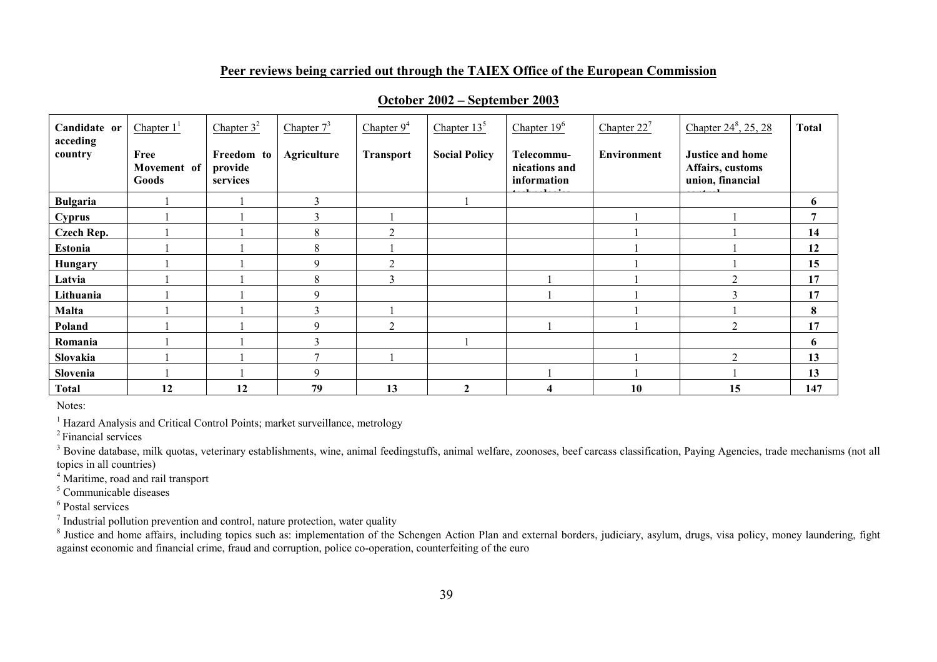# **Peer reviews being carried out through the TAIEX Office of the European Commission**

| Candidate or<br>acceding<br>country | Chapter $11$<br>Free<br>Movement of<br>Goods | Chapter $3^2$<br>Freedom to<br>provide<br>services | Chapter $7^3$<br>Agriculture | Chapter $9^4$<br>Transport | Chapter $13^5$<br><b>Social Policy</b> | Chapter $196$<br>Telecommu-<br>nications and<br>information | Chapter $227$<br><b>Environment</b> | Chapter $24^8$ , 25, 28<br><b>Justice and home</b><br>Affairs, customs<br>union, financial | <b>Total</b>   |
|-------------------------------------|----------------------------------------------|----------------------------------------------------|------------------------------|----------------------------|----------------------------------------|-------------------------------------------------------------|-------------------------------------|--------------------------------------------------------------------------------------------|----------------|
| <b>Bulgaria</b>                     |                                              |                                                    | $\mathcal{L}$                |                            |                                        |                                                             |                                     |                                                                                            | 6              |
| <b>Cyprus</b>                       |                                              |                                                    | 3                            |                            |                                        |                                                             |                                     |                                                                                            | $\overline{7}$ |
| Czech Rep.                          |                                              |                                                    | 8                            | $\overline{2}$             |                                        |                                                             |                                     |                                                                                            | 14             |
| <b>Estonia</b>                      |                                              |                                                    | 8                            |                            |                                        |                                                             |                                     |                                                                                            | 12             |
| Hungary                             |                                              |                                                    | Q                            | $\overline{2}$             |                                        |                                                             |                                     |                                                                                            | 15             |
| Latvia                              |                                              |                                                    | 8                            | 3                          |                                        |                                                             |                                     |                                                                                            | 17             |
| Lithuania                           |                                              |                                                    | 9                            |                            |                                        |                                                             |                                     |                                                                                            | 17             |
| Malta                               |                                              |                                                    | 3                            |                            |                                        |                                                             |                                     |                                                                                            | 8              |
| Poland                              |                                              |                                                    | 9                            | 2                          |                                        |                                                             |                                     | $\overline{2}$                                                                             | 17             |
| Romania                             |                                              |                                                    |                              |                            |                                        |                                                             |                                     |                                                                                            | 6              |
| Slovakia                            |                                              |                                                    |                              |                            |                                        |                                                             |                                     | $\mathcal{L}$                                                                              | 13             |
| Slovenia                            |                                              |                                                    | 9                            |                            |                                        |                                                             |                                     |                                                                                            | 13             |
| <b>Total</b>                        | 12                                           | 12                                                 | 79                           | 13                         | $\mathbf{2}$                           |                                                             | 10                                  | 15                                                                                         | 147            |

### **October 2002 – September 2003**

Notes:

<sup>1</sup> Hazard Analysis and Critical Control Points; market surveillance, metrology

2 Financial services

<sup>3</sup> Bovine database, milk quotas, veterinary establishments, wine, animal feedingstuffs, animal welfare, zoonoses, beef carcass classification, Paying Agencies, trade mechanisms (not all topics in all countries)

<sup>4</sup> Maritime, road and rail transport

5 Communicable diseases

<sup>6</sup> Postal services

7 Industrial pollution prevention and control, nature protection, water quality

<sup>8</sup> Justice and home affairs, including topics such as: implementation of the Schengen Action Plan and external borders, judiciary, asylum, drugs, visa policy, money laundering, fight against economic and financial crime, fraud and corruption, police co-operation, counterfeiting of the euro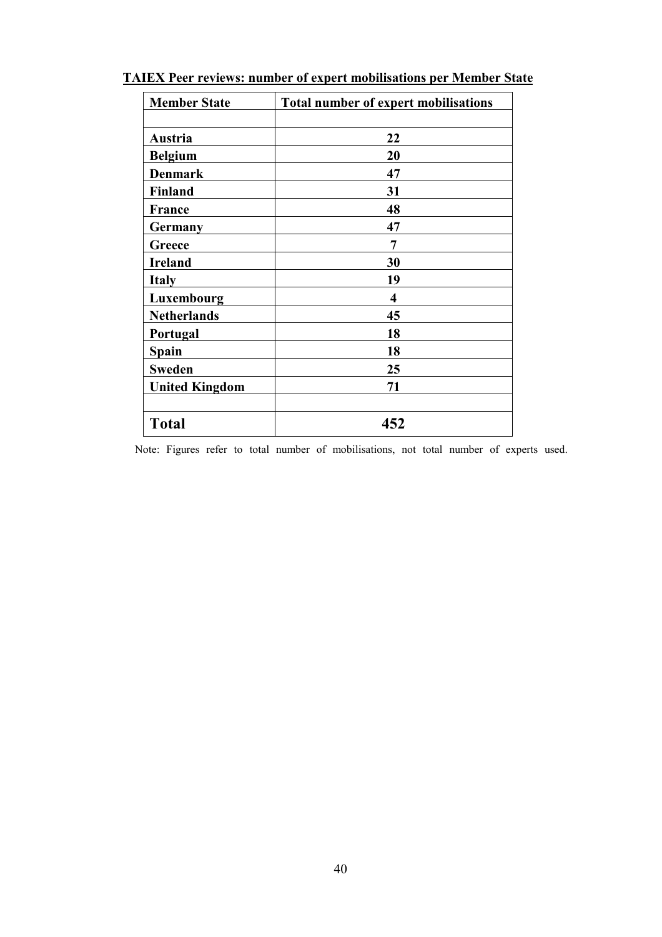| <b>Member State</b>   | <b>Total number of expert mobilisations</b> |
|-----------------------|---------------------------------------------|
|                       |                                             |
| Austria               | 22                                          |
| <b>Belgium</b>        | 20                                          |
| <b>Denmark</b>        | 47                                          |
| <b>Finland</b>        | 31                                          |
| France                | 48                                          |
| <b>Germany</b>        | 47                                          |
| Greece                | 7                                           |
| <b>Ireland</b>        | 30                                          |
| <b>Italy</b>          | 19                                          |
| Luxembourg            | 4                                           |
| <b>Netherlands</b>    | 45                                          |
| Portugal              | 18                                          |
| Spain                 | 18                                          |
| <b>Sweden</b>         | 25                                          |
| <b>United Kingdom</b> | 71                                          |
|                       |                                             |
| <b>Total</b>          | 452                                         |

# **TAIEX Peer reviews: number of expert mobilisations per Member State**

Note: Figures refer to total number of mobilisations, not total number of experts used.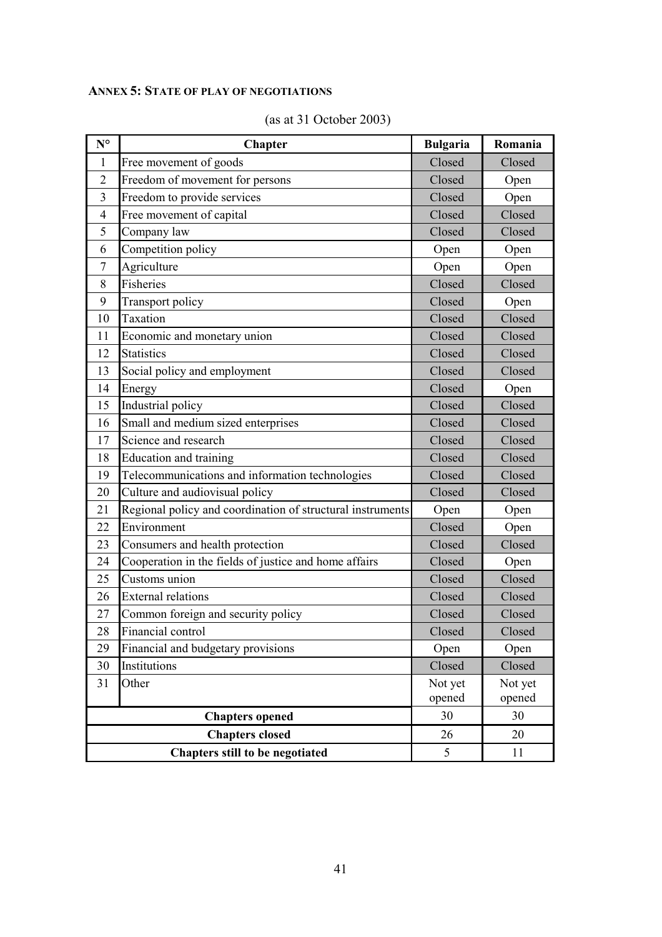### **ANNEX 5: STATE OF PLAY OF NEGOTIATIONS**

| N <sup>o</sup> | Chapter                                                    | <b>Bulgaria</b> | Romania |
|----------------|------------------------------------------------------------|-----------------|---------|
| $\mathbf{1}$   | Free movement of goods                                     | Closed          | Closed  |
| $\overline{2}$ | Freedom of movement for persons                            | Closed          | Open    |
| 3              | Freedom to provide services                                | Closed          | Open    |
| 4              | Free movement of capital                                   | Closed          | Closed  |
| 5              | Company law                                                | Closed          | Closed  |
| 6              | Competition policy                                         | Open            | Open    |
| 7              | Agriculture                                                | Open            | Open    |
| 8              | Fisheries                                                  | Closed          | Closed  |
| 9              | <b>Transport policy</b>                                    | Closed          | Open    |
| 10             | Taxation                                                   | Closed          | Closed  |
| 11             | Economic and monetary union                                | Closed          | Closed  |
| 12             | <b>Statistics</b>                                          | Closed          | Closed  |
| 13             | Social policy and employment                               | Closed          | Closed  |
| 14             | Energy                                                     | Closed          | Open    |
| 15             | Industrial policy                                          | Closed          | Closed  |
| 16             | Small and medium sized enterprises                         | Closed          | Closed  |
| 17             | Science and research                                       | Closed          | Closed  |
| 18             | <b>Education and training</b>                              | Closed          | Closed  |
| 19             | Telecommunications and information technologies            | Closed          | Closed  |
| 20             | Culture and audiovisual policy                             | Closed          | Closed  |
| 21             | Regional policy and coordination of structural instruments | Open            | Open    |
| 22             | Environment                                                | Closed          | Open    |
| 23             | Consumers and health protection                            | Closed          | Closed  |
| 24             | Cooperation in the fields of justice and home affairs      | Closed          | Open    |
| 25             | Customs union                                              | Closed          | Closed  |
| 26             | <b>External relations</b>                                  | Closed          | Closed  |
| 27             | Common foreign and security policy                         | Closed          | Closed  |
| 28             | Financial control                                          | Closed          | Closed  |
| 29             | Financial and budgetary provisions                         | Open            | Open    |
| 30             | Institutions                                               | Closed          | Closed  |
| 31             | Other                                                      | Not yet         | Not yet |
|                |                                                            | opened          | opened  |
|                | <b>Chapters opened</b>                                     | 30              | 30      |
|                | <b>Chapters closed</b>                                     | 26              | 20      |
|                | <b>Chapters still to be negotiated</b>                     | 5               | 11      |

# (as at 31 October 2003)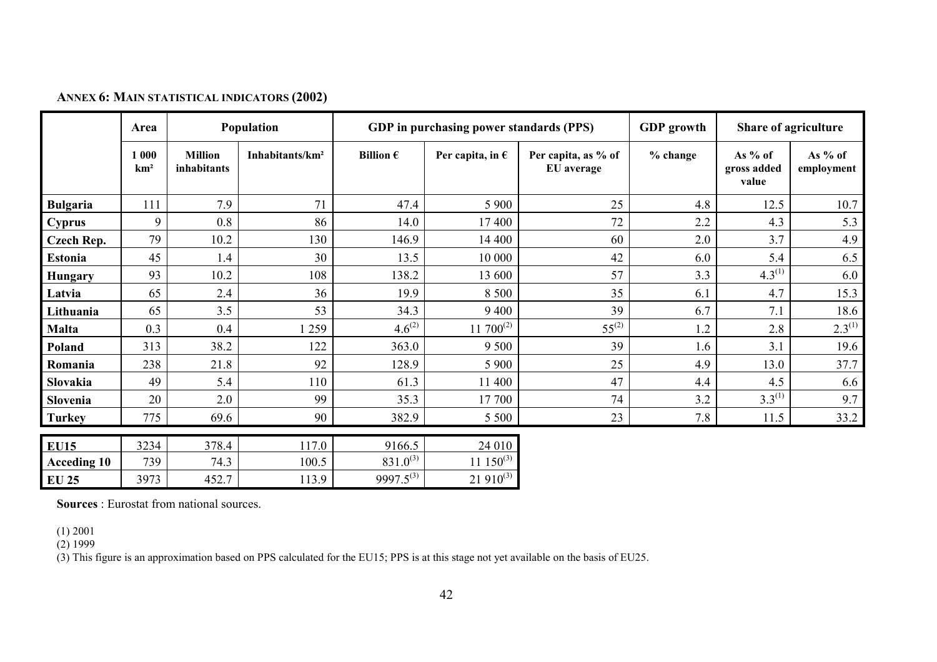|                    | Area                     |                               | Population                  |                                      | GDP in purchasing power standards (PPS) |                                   | <b>GDP</b> growth | <b>Share of agriculture</b>       |                       |
|--------------------|--------------------------|-------------------------------|-----------------------------|--------------------------------------|-----------------------------------------|-----------------------------------|-------------------|-----------------------------------|-----------------------|
|                    | 1 000<br>km <sup>2</sup> | <b>Million</b><br>inhabitants | Inhabitants/km <sup>2</sup> | <b>Billion <math>\epsilon</math></b> | Per capita, in $\epsilon$               | Per capita, as % of<br>EU average | $%$ change        | As $%$ of<br>gross added<br>value | As % of<br>employment |
| <b>Bulgaria</b>    | 111                      | 7.9                           | 71                          | 47.4                                 | 5 900                                   | 25                                | 4.8               | 12.5                              | 10.7                  |
| <b>Cyprus</b>      | 9                        | 0.8                           | 86                          | 14.0                                 | 17 400                                  | 72                                | 2.2               | 4.3                               | 5.3                   |
| Czech Rep.         | 79                       | 10.2                          | 130                         | 146.9                                | 14 400                                  | 60                                | 2.0               | 3.7                               | 4.9                   |
| <b>Estonia</b>     | 45                       | 1.4                           | 30                          | 13.5                                 | 10 000                                  | 42                                | 6.0               | 5.4                               | 6.5                   |
| Hungary            | 93                       | 10.2                          | 108                         | 138.2                                | 13 600                                  | 57                                | 3.3               | $4.3^{(1)}$                       | 6.0                   |
| Latvia             | 65                       | 2.4                           | 36                          | 19.9                                 | 8 500                                   | 35                                | 6.1               | 4.7                               | 15.3                  |
| Lithuania          | 65                       | 3.5                           | 53                          | 34.3                                 | 9 4 0 0                                 | 39                                | 6.7               | 7.1                               | 18.6                  |
| Malta              | 0.3                      | 0.4                           | 259                         | $4.6^{(2)}$                          | $11\ 700^{(2)}$                         | $55^{(2)}$                        | 1.2               | 2.8                               | $2.3^{(1)}$           |
| Poland             | 313                      | 38.2                          | 122                         | 363.0                                | 9 500                                   | 39                                | 1.6               | 3.1                               | 19.6                  |
| Romania            | 238                      | 21.8                          | 92                          | 128.9                                | 5 900                                   | 25                                | 4.9               | 13.0                              | 37.7                  |
| Slovakia           | 49                       | 5.4                           | 110                         | 61.3                                 | 11 400                                  | 47                                | 4.4               | 4.5                               | 6.6                   |
| Slovenia           | 20                       | 2.0                           | 99                          | 35.3                                 | 17 700                                  | 74                                | 3.2               | $3.3^{(1)}$                       | 9.7                   |
| <b>Turkey</b>      | 775                      | 69.6                          | 90                          | 382.9                                | 5 5 0 0                                 | 23                                | 7.8               | 11.5                              | 33.2                  |
|                    |                          |                               |                             |                                      |                                         |                                   |                   |                                   |                       |
| <b>EU15</b>        | 3234                     | 378.4                         | 117.0                       | 9166.5                               | 24 010                                  |                                   |                   |                                   |                       |
| <b>Acceding 10</b> | 739                      | 74.3                          | 100.5                       | $831.0^{(3)}$                        | $11\ 150^{(3)}$                         |                                   |                   |                                   |                       |

## **ANNEX 6: MAIN STATISTICAL INDICATORS (2002)**

**Sources** : Eurostat from national sources.

(1) 2001

**EU 25**

 $(2)$  1999

(3) This figure is an approximation based on PPS calculated for the EU15; PPS is at this stage not yet available on the basis of EU25.

 $3973$  452.7 113.9 9997.5<sup>(3)</sup> 21 910<sup>(3)</sup>